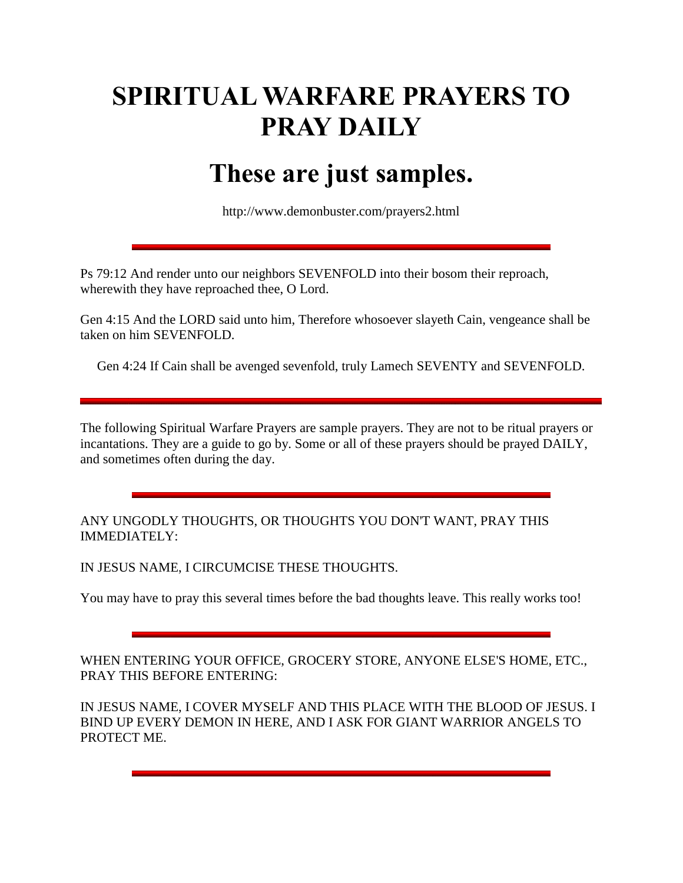# **SPIRITUAL WARFARE PRAYERS TO PRAY DAILY**

## **These are just samples.**

http://www.demonbuster.com/prayers2.html

Ps 79:12 And render unto our neighbors SEVENFOLD into their bosom their reproach, wherewith they have reproached thee, O Lord.

Gen 4:15 And the LORD said unto him, Therefore whosoever slayeth Cain, vengeance shall be taken on him SEVENFOLD.

Gen 4:24 If Cain shall be avenged sevenfold, truly Lamech SEVENTY and SEVENFOLD.

The following Spiritual Warfare Prayers are sample prayers. They are not to be ritual prayers or incantations. They are a guide to go by. Some or all of these prayers should be prayed DAILY, and sometimes often during the day.

ANY UNGODLY THOUGHTS, OR THOUGHTS YOU DON'T WANT, PRAY THIS IMMEDIATELY:

IN JESUS NAME, I CIRCUMCISE THESE THOUGHTS.

You may have to pray this several times before the bad thoughts leave. This really works too!

WHEN ENTERING YOUR OFFICE, GROCERY STORE, ANYONE ELSE'S HOME, ETC., PRAY THIS BEFORE ENTERING:

IN JESUS NAME, I COVER MYSELF AND THIS PLACE WITH THE BLOOD OF JESUS. I BIND UP EVERY DEMON IN HERE, AND I ASK FOR GIANT WARRIOR ANGELS TO PROTECT ME.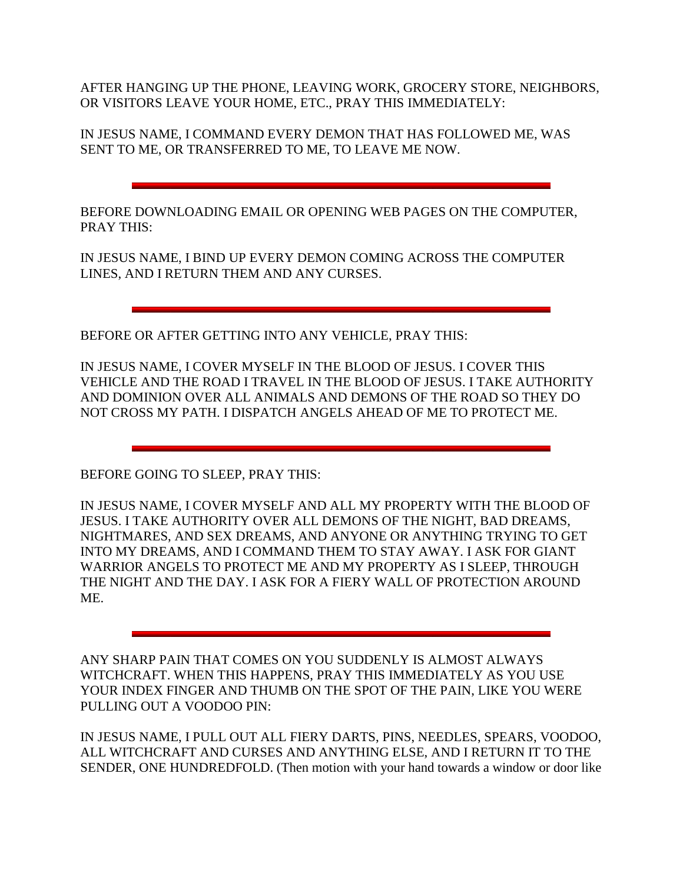AFTER HANGING UP THE PHONE, LEAVING WORK, GROCERY STORE, NEIGHBORS, OR VISITORS LEAVE YOUR HOME, ETC., PRAY THIS IMMEDIATELY:

IN JESUS NAME, I COMMAND EVERY DEMON THAT HAS FOLLOWED ME, WAS SENT TO ME, OR TRANSFERRED TO ME, TO LEAVE ME NOW.

BEFORE DOWNLOADING EMAIL OR OPENING WEB PAGES ON THE COMPUTER, PRAY THIS:

IN JESUS NAME, I BIND UP EVERY DEMON COMING ACROSS THE COMPUTER LINES, AND I RETURN THEM AND ANY CURSES.

BEFORE OR AFTER GETTING INTO ANY VEHICLE, PRAY THIS:

IN JESUS NAME, I COVER MYSELF IN THE BLOOD OF JESUS. I COVER THIS VEHICLE AND THE ROAD I TRAVEL IN THE BLOOD OF JESUS. I TAKE AUTHORITY AND DOMINION OVER ALL ANIMALS AND DEMONS OF THE ROAD SO THEY DO NOT CROSS MY PATH. I DISPATCH ANGELS AHEAD OF ME TO PROTECT ME.

BEFORE GOING TO SLEEP, PRAY THIS:

IN JESUS NAME, I COVER MYSELF AND ALL MY PROPERTY WITH THE BLOOD OF JESUS. I TAKE AUTHORITY OVER ALL DEMONS OF THE NIGHT, BAD DREAMS, NIGHTMARES, AND SEX DREAMS, AND ANYONE OR ANYTHING TRYING TO GET INTO MY DREAMS, AND I COMMAND THEM TO STAY AWAY. I ASK FOR GIANT WARRIOR ANGELS TO PROTECT ME AND MY PROPERTY AS I SLEEP, THROUGH THE NIGHT AND THE DAY. I ASK FOR A FIERY WALL OF PROTECTION AROUND ME.

ANY SHARP PAIN THAT COMES ON YOU SUDDENLY IS ALMOST ALWAYS WITCHCRAFT. WHEN THIS HAPPENS, PRAY THIS IMMEDIATELY AS YOU USE YOUR INDEX FINGER AND THUMB ON THE SPOT OF THE PAIN, LIKE YOU WERE PULLING OUT A VOODOO PIN:

IN JESUS NAME, I PULL OUT ALL FIERY DARTS, PINS, NEEDLES, SPEARS, VOODOO, ALL WITCHCRAFT AND CURSES AND ANYTHING ELSE, AND I RETURN IT TO THE SENDER, ONE HUNDREDFOLD. (Then motion with your hand towards a window or door like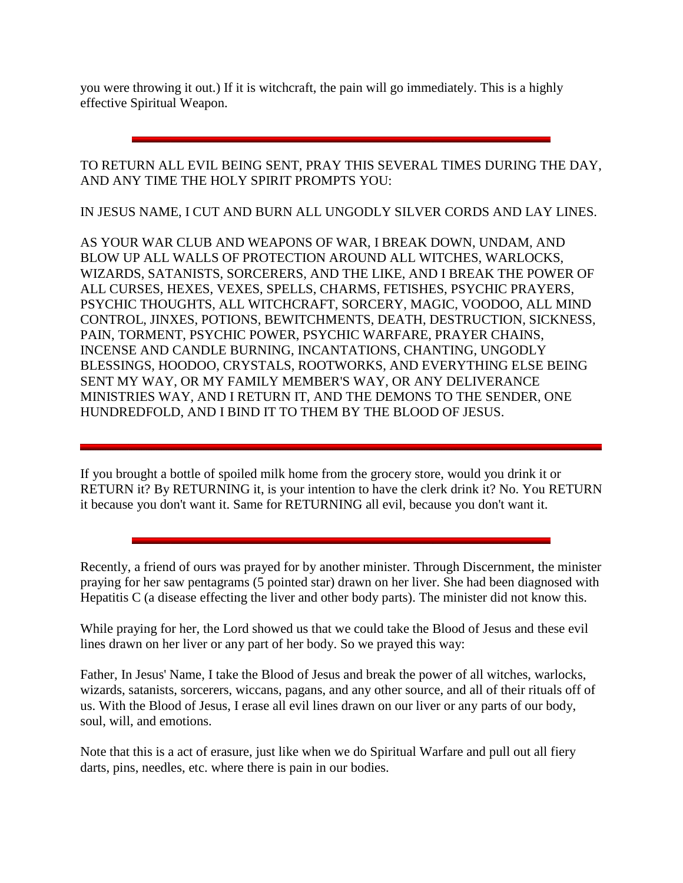you were throwing it out.) If it is witchcraft, the pain will go immediately. This is a highly effective Spiritual Weapon.

TO RETURN ALL EVIL BEING SENT, PRAY THIS SEVERAL TIMES DURING THE DAY, AND ANY TIME THE HOLY SPIRIT PROMPTS YOU:

IN JESUS NAME, I CUT AND BURN ALL UNGODLY SILVER CORDS AND LAY LINES.

AS YOUR WAR CLUB AND WEAPONS OF WAR, I BREAK DOWN, UNDAM, AND BLOW UP ALL WALLS OF PROTECTION AROUND ALL WITCHES, WARLOCKS, WIZARDS, SATANISTS, SORCERERS, AND THE LIKE, AND I BREAK THE POWER OF ALL CURSES, HEXES, VEXES, SPELLS, CHARMS, FETISHES, PSYCHIC PRAYERS, PSYCHIC THOUGHTS, ALL WITCHCRAFT, SORCERY, MAGIC, VOODOO, ALL MIND CONTROL, JINXES, POTIONS, BEWITCHMENTS, DEATH, DESTRUCTION, SICKNESS, PAIN, TORMENT, PSYCHIC POWER, PSYCHIC WARFARE, PRAYER CHAINS, INCENSE AND CANDLE BURNING, INCANTATIONS, CHANTING, UNGODLY BLESSINGS, HOODOO, CRYSTALS, ROOTWORKS, AND EVERYTHING ELSE BEING SENT MY WAY, OR MY FAMILY MEMBER'S WAY, OR ANY DELIVERANCE MINISTRIES WAY, AND I RETURN IT, AND THE DEMONS TO THE SENDER, ONE HUNDREDFOLD, AND I BIND IT TO THEM BY THE BLOOD OF JESUS.

If you brought a bottle of spoiled milk home from the grocery store, would you drink it or RETURN it? By RETURNING it, is your intention to have the clerk drink it? No. You RETURN it because you don't want it. Same for RETURNING all evil, because you don't want it.

Recently, a friend of ours was prayed for by another minister. Through Discernment, the minister praying for her saw pentagrams (5 pointed star) drawn on her liver. She had been diagnosed with Hepatitis C (a disease effecting the liver and other body parts). The minister did not know this.

While praying for her, the Lord showed us that we could take the Blood of Jesus and these evil lines drawn on her liver or any part of her body. So we prayed this way:

Father, In Jesus' Name, I take the Blood of Jesus and break the power of all witches, warlocks, wizards, satanists, sorcerers, wiccans, pagans, and any other source, and all of their rituals off of us. With the Blood of Jesus, I erase all evil lines drawn on our liver or any parts of our body, soul, will, and emotions.

Note that this is a act of erasure, just like when we do Spiritual Warfare and pull out all fiery darts, pins, needles, etc. where there is pain in our bodies.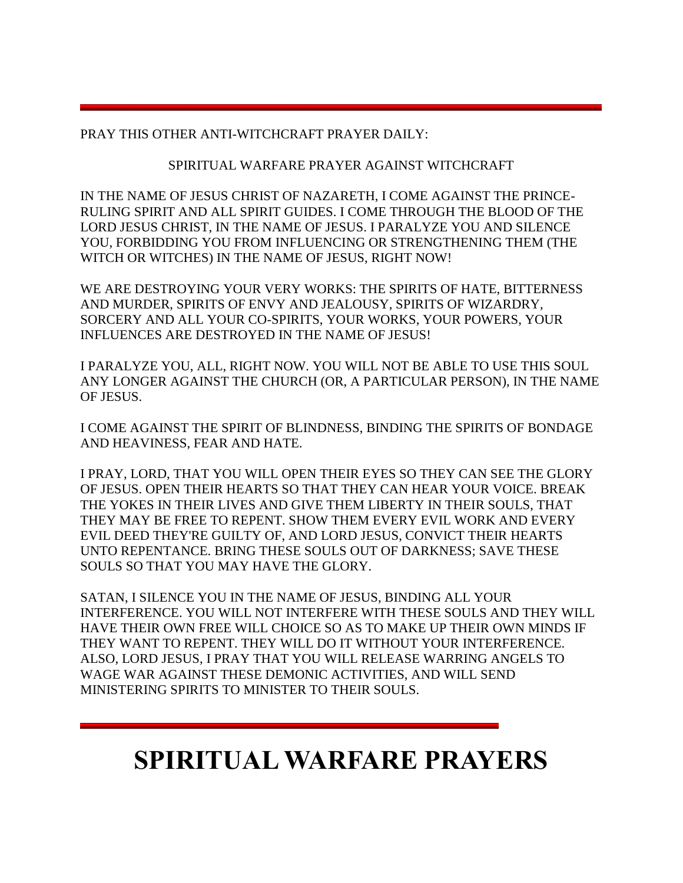PRAY THIS OTHER ANTI-WITCHCRAFT PRAYER DAILY:

## SPIRITUAL WARFARE PRAYER AGAINST WITCHCRAFT

IN THE NAME OF JESUS CHRIST OF NAZARETH, I COME AGAINST THE PRINCE-RULING SPIRIT AND ALL SPIRIT GUIDES. I COME THROUGH THE BLOOD OF THE LORD JESUS CHRIST, IN THE NAME OF JESUS. I PARALYZE YOU AND SILENCE YOU, FORBIDDING YOU FROM INFLUENCING OR STRENGTHENING THEM (THE WITCH OR WITCHES) IN THE NAME OF JESUS, RIGHT NOW!

WE ARE DESTROYING YOUR VERY WORKS: THE SPIRITS OF HATE, BITTERNESS AND MURDER, SPIRITS OF ENVY AND JEALOUSY, SPIRITS OF WIZARDRY, SORCERY AND ALL YOUR CO-SPIRITS, YOUR WORKS, YOUR POWERS, YOUR INFLUENCES ARE DESTROYED IN THE NAME OF JESUS!

I PARALYZE YOU, ALL, RIGHT NOW. YOU WILL NOT BE ABLE TO USE THIS SOUL ANY LONGER AGAINST THE CHURCH (OR, A PARTICULAR PERSON), IN THE NAME OF JESUS.

I COME AGAINST THE SPIRIT OF BLINDNESS, BINDING THE SPIRITS OF BONDAGE AND HEAVINESS, FEAR AND HATE.

I PRAY, LORD, THAT YOU WILL OPEN THEIR EYES SO THEY CAN SEE THE GLORY OF JESUS. OPEN THEIR HEARTS SO THAT THEY CAN HEAR YOUR VOICE. BREAK THE YOKES IN THEIR LIVES AND GIVE THEM LIBERTY IN THEIR SOULS, THAT THEY MAY BE FREE TO REPENT. SHOW THEM EVERY EVIL WORK AND EVERY EVIL DEED THEY'RE GUILTY OF, AND LORD JESUS, CONVICT THEIR HEARTS UNTO REPENTANCE. BRING THESE SOULS OUT OF DARKNESS; SAVE THESE SOULS SO THAT YOU MAY HAVE THE GLORY.

SATAN, I SILENCE YOU IN THE NAME OF JESUS, BINDING ALL YOUR INTERFERENCE. YOU WILL NOT INTERFERE WITH THESE SOULS AND THEY WILL HAVE THEIR OWN FREE WILL CHOICE SO AS TO MAKE UP THEIR OWN MINDS IF THEY WANT TO REPENT. THEY WILL DO IT WITHOUT YOUR INTERFERENCE. ALSO, LORD JESUS, I PRAY THAT YOU WILL RELEASE WARRING ANGELS TO WAGE WAR AGAINST THESE DEMONIC ACTIVITIES, AND WILL SEND MINISTERING SPIRITS TO MINISTER TO THEIR SOULS.

## **SPIRITUAL WARFARE PRAYERS**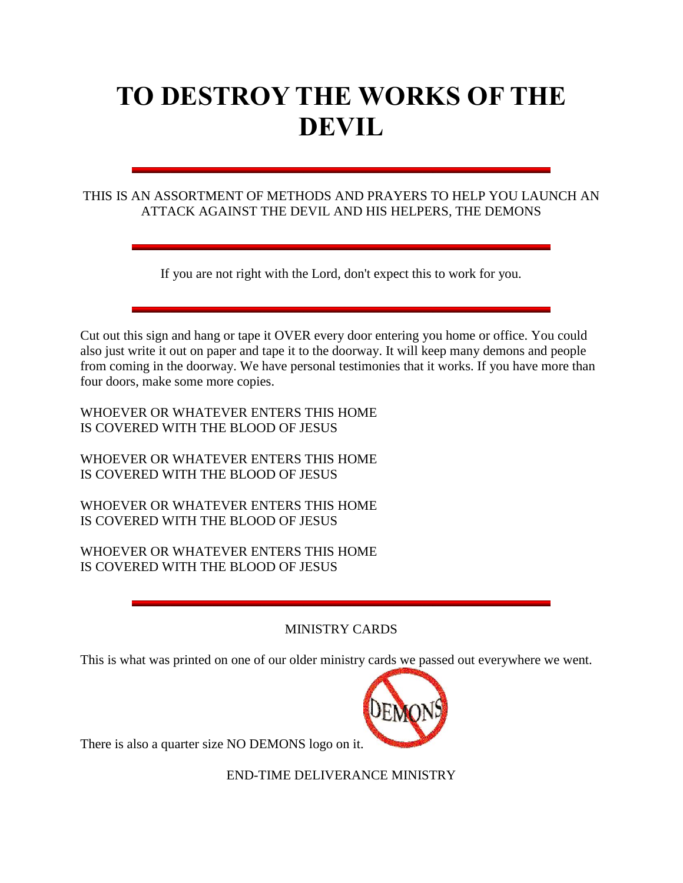# **TO DESTROY THE WORKS OF THE DEVIL**

## THIS IS AN ASSORTMENT OF METHODS AND PRAYERS TO HELP YOU LAUNCH AN ATTACK AGAINST THE DEVIL AND HIS HELPERS, THE DEMONS

If you are not right with the Lord, don't expect this to work for you.

Cut out this sign and hang or tape it OVER every door entering you home or office. You could also just write it out on paper and tape it to the doorway. It will keep many demons and people from coming in the doorway. We have personal testimonies that it works. If you have more than four doors, make some more copies.

WHOEVER OR WHATEVER ENTERS THIS HOME IS COVERED WITH THE BLOOD OF JESUS

WHOEVER OR WHATEVER ENTERS THIS HOME IS COVERED WITH THE BLOOD OF JESUS

WHOEVER OR WHATEVER ENTERS THIS HOME IS COVERED WITH THE BLOOD OF JESUS

WHOEVER OR WHATEVER ENTERS THIS HOME IS COVERED WITH THE BLOOD OF JESUS

## MINISTRY CARDS

This is what was printed on one of our older ministry cards we passed out everywhere we went.



There is also a quarter size NO DEMONS logo on it.

END-TIME DELIVERANCE MINISTRY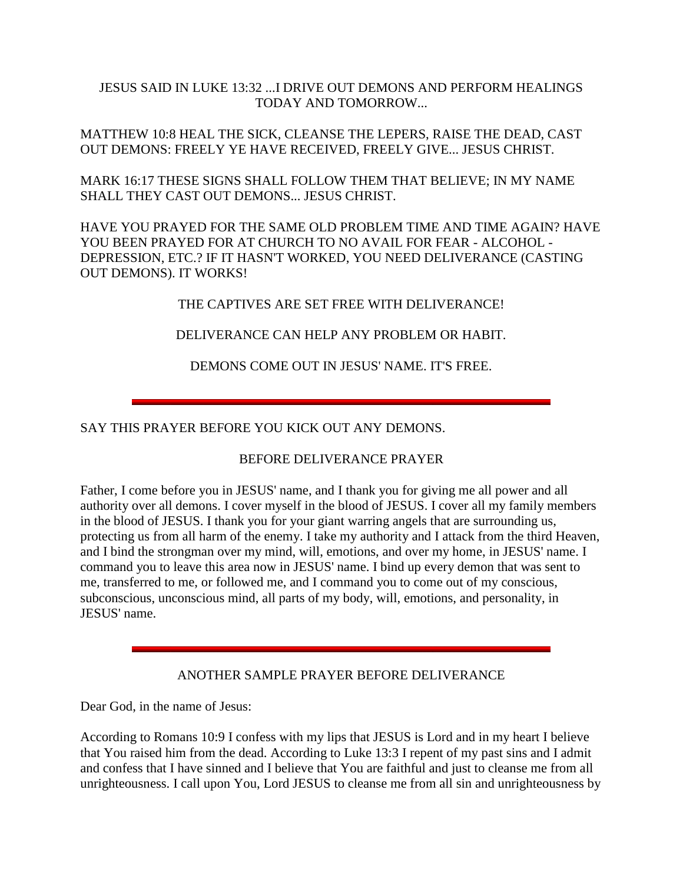## JESUS SAID IN LUKE 13:32 ...I DRIVE OUT DEMONS AND PERFORM HEALINGS TODAY AND TOMORROW...

MATTHEW 10:8 HEAL THE SICK, CLEANSE THE LEPERS, RAISE THE DEAD, CAST OUT DEMONS: FREELY YE HAVE RECEIVED, FREELY GIVE... JESUS CHRIST.

MARK 16:17 THESE SIGNS SHALL FOLLOW THEM THAT BELIEVE; IN MY NAME SHALL THEY CAST OUT DEMONS... JESUS CHRIST.

HAVE YOU PRAYED FOR THE SAME OLD PROBLEM TIME AND TIME AGAIN? HAVE YOU BEEN PRAYED FOR AT CHURCH TO NO AVAIL FOR FEAR - ALCOHOL - DEPRESSION, ETC.? IF IT HASN'T WORKED, YOU NEED DELIVERANCE (CASTING OUT DEMONS). IT WORKS!

THE CAPTIVES ARE SET FREE WITH DELIVERANCE!

## DELIVERANCE CAN HELP ANY PROBLEM OR HABIT.

DEMONS COME OUT IN JESUS' NAME. IT'S FREE.

SAY THIS PRAYER BEFORE YOU KICK OUT ANY DEMONS.

## BEFORE DELIVERANCE PRAYER

Father, I come before you in JESUS' name, and I thank you for giving me all power and all authority over all demons. I cover myself in the blood of JESUS. I cover all my family members in the blood of JESUS. I thank you for your giant warring angels that are surrounding us, protecting us from all harm of the enemy. I take my authority and I attack from the third Heaven, and I bind the strongman over my mind, will, emotions, and over my home, in JESUS' name. I command you to leave this area now in JESUS' name. I bind up every demon that was sent to me, transferred to me, or followed me, and I command you to come out of my conscious, subconscious, unconscious mind, all parts of my body, will, emotions, and personality, in JESUS' name.

## ANOTHER SAMPLE PRAYER BEFORE DELIVERANCE

Dear God, in the name of Jesus:

According to Romans 10:9 I confess with my lips that JESUS is Lord and in my heart I believe that You raised him from the dead. According to Luke 13:3 I repent of my past sins and I admit and confess that I have sinned and I believe that You are faithful and just to cleanse me from all unrighteousness. I call upon You, Lord JESUS to cleanse me from all sin and unrighteousness by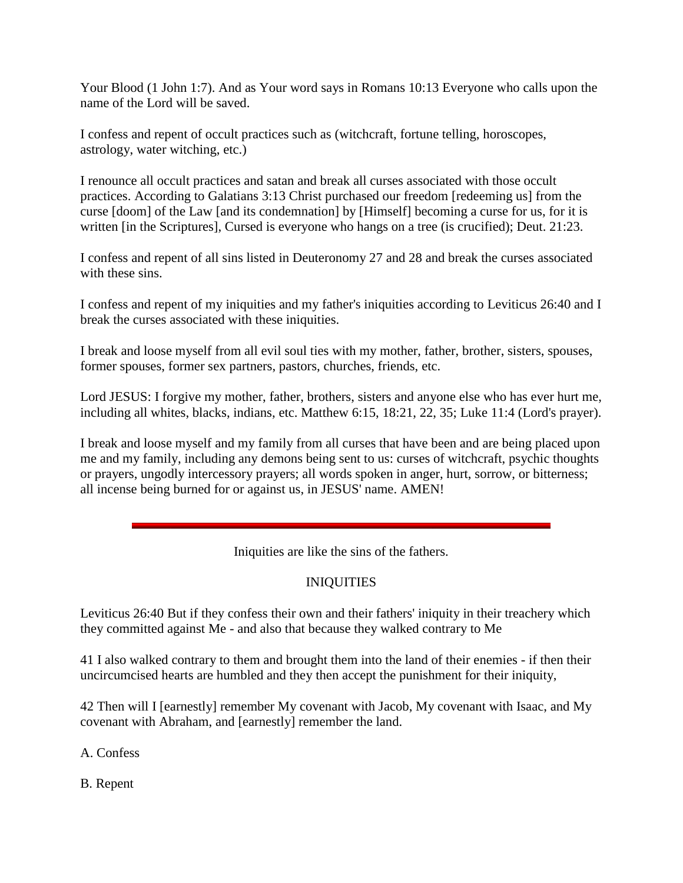Your Blood (1 John 1:7). And as Your word says in Romans 10:13 Everyone who calls upon the name of the Lord will be saved.

I confess and repent of occult practices such as (witchcraft, fortune telling, horoscopes, astrology, water witching, etc.)

I renounce all occult practices and satan and break all curses associated with those occult practices. According to Galatians 3:13 Christ purchased our freedom [redeeming us] from the curse [doom] of the Law [and its condemnation] by [Himself] becoming a curse for us, for it is written [in the Scriptures], Cursed is everyone who hangs on a tree (is crucified); Deut. 21:23.

I confess and repent of all sins listed in Deuteronomy 27 and 28 and break the curses associated with these sins.

I confess and repent of my iniquities and my father's iniquities according to Leviticus 26:40 and I break the curses associated with these iniquities.

I break and loose myself from all evil soul ties with my mother, father, brother, sisters, spouses, former spouses, former sex partners, pastors, churches, friends, etc.

Lord JESUS: I forgive my mother, father, brothers, sisters and anyone else who has ever hurt me, including all whites, blacks, indians, etc. Matthew 6:15, 18:21, 22, 35; Luke 11:4 (Lord's prayer).

I break and loose myself and my family from all curses that have been and are being placed upon me and my family, including any demons being sent to us: curses of witchcraft, psychic thoughts or prayers, ungodly intercessory prayers; all words spoken in anger, hurt, sorrow, or bitterness; all incense being burned for or against us, in JESUS' name. AMEN!

Iniquities are like the sins of the fathers.

## INIQUITIES

Leviticus 26:40 But if they confess their own and their fathers' iniquity in their treachery which they committed against Me - and also that because they walked contrary to Me

41 I also walked contrary to them and brought them into the land of their enemies - if then their uncircumcised hearts are humbled and they then accept the punishment for their iniquity,

42 Then will I [earnestly] remember My covenant with Jacob, My covenant with Isaac, and My covenant with Abraham, and [earnestly] remember the land.

A. Confess

B. Repent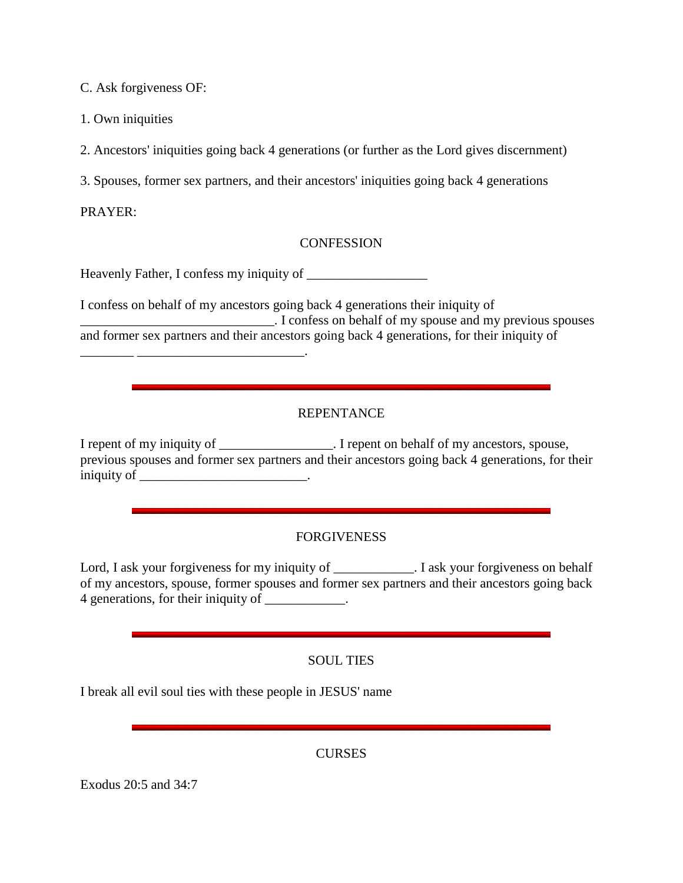C. Ask forgiveness OF:

1. Own iniquities

2. Ancestors' iniquities going back 4 generations (or further as the Lord gives discernment)

3. Spouses, former sex partners, and their ancestors' iniquities going back 4 generations

PRAYER:

## **CONFESSION**

Heavenly Father, I confess my iniquity of \_\_\_\_\_\_\_\_\_\_\_\_\_\_\_\_\_\_

I confess on behalf of my ancestors going back 4 generations their iniquity of . I confess on behalf of my spouse and my previous spouses and former sex partners and their ancestors going back 4 generations, for their iniquity of \_\_\_\_\_\_\_\_ \_\_\_\_\_\_\_\_\_\_\_\_\_\_\_\_\_\_\_\_\_\_\_\_\_.

## REPENTANCE

I repent of my iniquity of \_\_\_\_\_\_\_\_\_\_\_\_\_\_\_\_. I repent on behalf of my ancestors, spouse, previous spouses and former sex partners and their ancestors going back 4 generations, for their iniquity of \_\_\_\_\_\_\_\_\_\_\_\_\_\_\_\_\_\_\_\_\_\_\_\_\_\_\_\_\_.

## FORGIVENESS

Lord, I ask your forgiveness for my iniquity of \_\_\_\_\_\_\_\_\_\_\_. I ask your forgiveness on behalf of my ancestors, spouse, former spouses and former sex partners and their ancestors going back 4 generations, for their iniquity of \_\_\_\_\_\_\_\_\_\_.

## SOUL TIES

I break all evil soul ties with these people in JESUS' name

CURSES

Exodus 20:5 and 34:7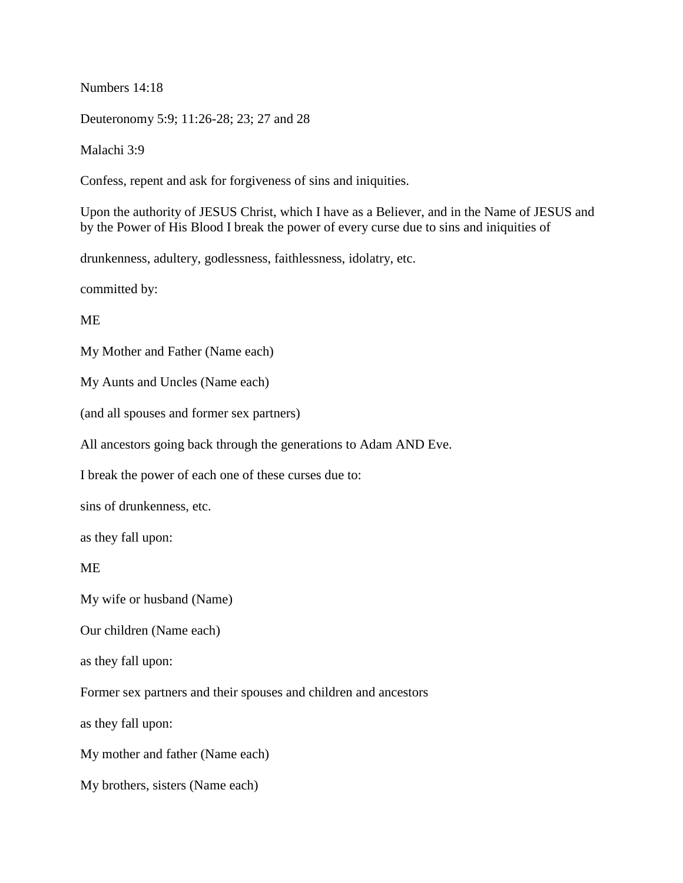Numbers 14:18

Deuteronomy 5:9; 11:26-28; 23; 27 and 28

Malachi 3:9

Confess, repent and ask for forgiveness of sins and iniquities.

Upon the authority of JESUS Christ, which I have as a Believer, and in the Name of JESUS and by the Power of His Blood I break the power of every curse due to sins and iniquities of

drunkenness, adultery, godlessness, faithlessness, idolatry, etc.

committed by:

ME

My Mother and Father (Name each)

My Aunts and Uncles (Name each)

(and all spouses and former sex partners)

All ancestors going back through the generations to Adam AND Eve.

I break the power of each one of these curses due to:

sins of drunkenness, etc.

as they fall upon:

ME

My wife or husband (Name)

Our children (Name each)

as they fall upon:

Former sex partners and their spouses and children and ancestors

as they fall upon:

My mother and father (Name each)

My brothers, sisters (Name each)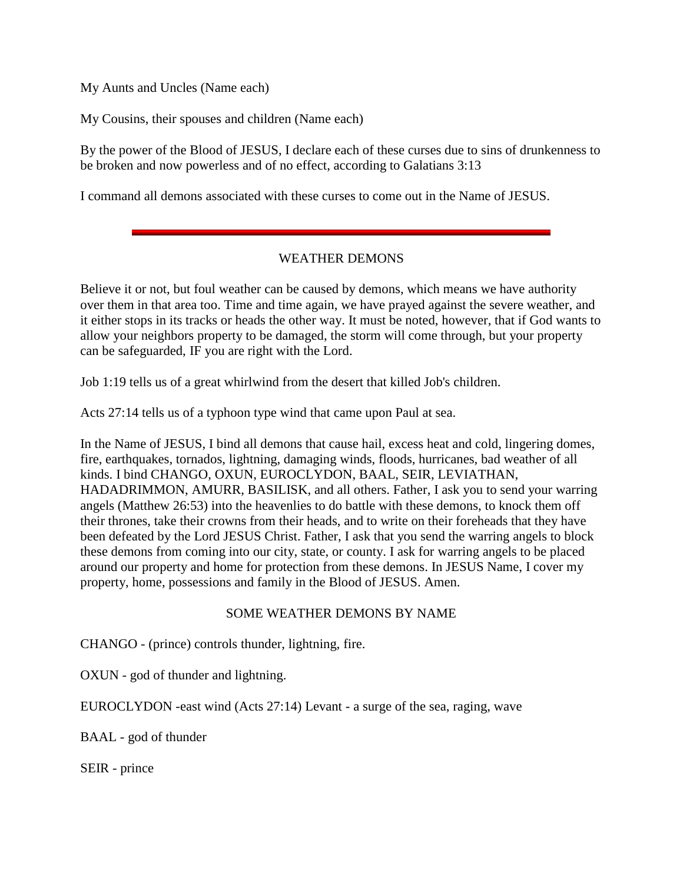My Aunts and Uncles (Name each)

My Cousins, their spouses and children (Name each)

By the power of the Blood of JESUS, I declare each of these curses due to sins of drunkenness to be broken and now powerless and of no effect, according to Galatians 3:13

I command all demons associated with these curses to come out in the Name of JESUS.

## WEATHER DEMONS

Believe it or not, but foul weather can be caused by demons, which means we have authority over them in that area too. Time and time again, we have prayed against the severe weather, and it either stops in its tracks or heads the other way. It must be noted, however, that if God wants to allow your neighbors property to be damaged, the storm will come through, but your property can be safeguarded, IF you are right with the Lord.

Job 1:19 tells us of a great whirlwind from the desert that killed Job's children.

Acts 27:14 tells us of a typhoon type wind that came upon Paul at sea.

In the Name of JESUS, I bind all demons that cause hail, excess heat and cold, lingering domes, fire, earthquakes, tornados, lightning, damaging winds, floods, hurricanes, bad weather of all kinds. I bind CHANGO, OXUN, EUROCLYDON, BAAL, SEIR, LEVIATHAN, HADADRIMMON, AMURR, BASILISK, and all others. Father, I ask you to send your warring angels (Matthew 26:53) into the heavenlies to do battle with these demons, to knock them off their thrones, take their crowns from their heads, and to write on their foreheads that they have been defeated by the Lord JESUS Christ. Father, I ask that you send the warring angels to block these demons from coming into our city, state, or county. I ask for warring angels to be placed around our property and home for protection from these demons. In JESUS Name, I cover my property, home, possessions and family in the Blood of JESUS. Amen.

#### SOME WEATHER DEMONS BY NAME

CHANGO - (prince) controls thunder, lightning, fire.

OXUN - god of thunder and lightning.

EUROCLYDON -east wind (Acts 27:14) Levant - a surge of the sea, raging, wave

BAAL - god of thunder

SEIR - prince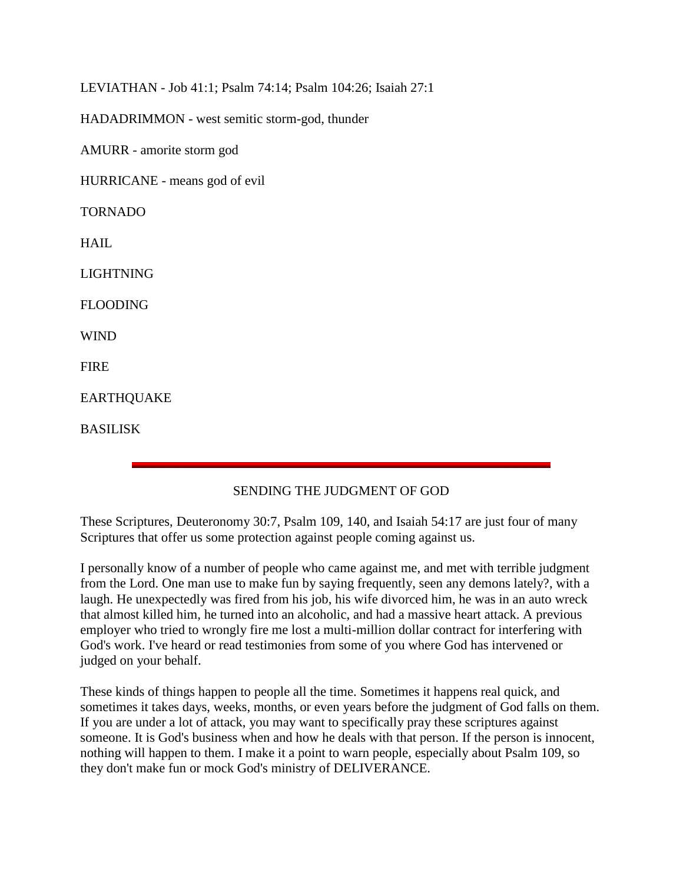LEVIATHAN - Job 41:1; Psalm 74:14; Psalm 104:26; Isaiah 27:1

HADADRIMMON - west semitic storm-god, thunder

AMURR - amorite storm god

HURRICANE - means god of evil

TORNADO

HAIL

LIGHTNING

FLOODING

WIND

**FIRE** 

EARTHQUAKE

BASILISK

## SENDING THE JUDGMENT OF GOD

These Scriptures, Deuteronomy 30:7, Psalm 109, 140, and Isaiah 54:17 are just four of many Scriptures that offer us some protection against people coming against us.

I personally know of a number of people who came against me, and met with terrible judgment from the Lord. One man use to make fun by saying frequently, seen any demons lately?, with a laugh. He unexpectedly was fired from his job, his wife divorced him, he was in an auto wreck that almost killed him, he turned into an alcoholic, and had a massive heart attack. A previous employer who tried to wrongly fire me lost a multi-million dollar contract for interfering with God's work. I've heard or read testimonies from some of you where God has intervened or judged on your behalf.

These kinds of things happen to people all the time. Sometimes it happens real quick, and sometimes it takes days, weeks, months, or even years before the judgment of God falls on them. If you are under a lot of attack, you may want to specifically pray these scriptures against someone. It is God's business when and how he deals with that person. If the person is innocent, nothing will happen to them. I make it a point to warn people, especially about Psalm 109, so they don't make fun or mock God's ministry of DELIVERANCE.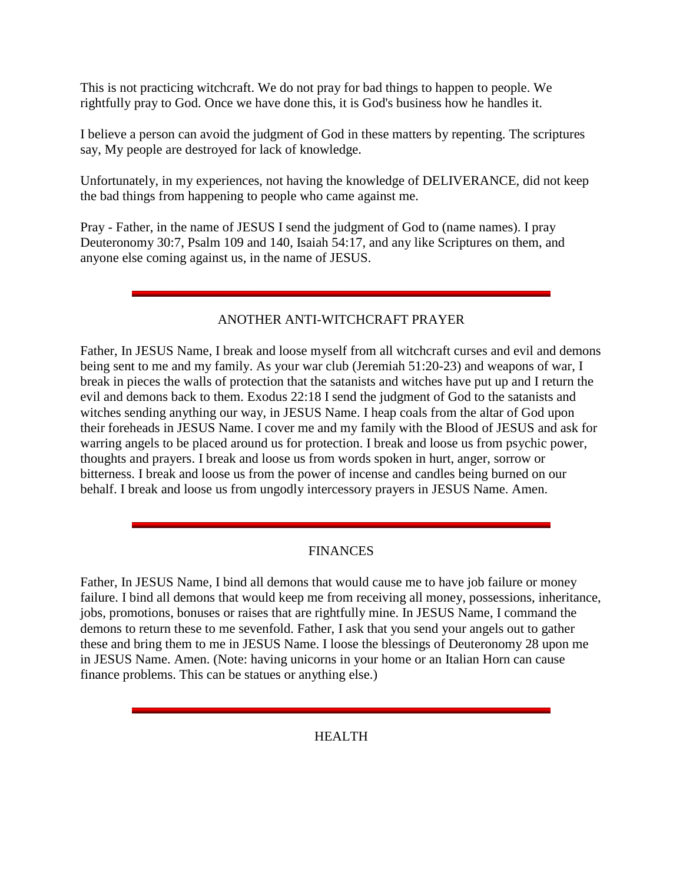This is not practicing witchcraft. We do not pray for bad things to happen to people. We rightfully pray to God. Once we have done this, it is God's business how he handles it.

I believe a person can avoid the judgment of God in these matters by repenting. The scriptures say, My people are destroyed for lack of knowledge.

Unfortunately, in my experiences, not having the knowledge of DELIVERANCE, did not keep the bad things from happening to people who came against me.

Pray - Father, in the name of JESUS I send the judgment of God to (name names). I pray Deuteronomy 30:7, Psalm 109 and 140, Isaiah 54:17, and any like Scriptures on them, and anyone else coming against us, in the name of JESUS.

## ANOTHER ANTI-WITCHCRAFT PRAYER

Father, In JESUS Name, I break and loose myself from all witchcraft curses and evil and demons being sent to me and my family. As your war club (Jeremiah 51:20-23) and weapons of war, I break in pieces the walls of protection that the satanists and witches have put up and I return the evil and demons back to them. Exodus 22:18 I send the judgment of God to the satanists and witches sending anything our way, in JESUS Name. I heap coals from the altar of God upon their foreheads in JESUS Name. I cover me and my family with the Blood of JESUS and ask for warring angels to be placed around us for protection. I break and loose us from psychic power, thoughts and prayers. I break and loose us from words spoken in hurt, anger, sorrow or bitterness. I break and loose us from the power of incense and candles being burned on our behalf. I break and loose us from ungodly intercessory prayers in JESUS Name. Amen.

## **FINANCES**

Father, In JESUS Name, I bind all demons that would cause me to have job failure or money failure. I bind all demons that would keep me from receiving all money, possessions, inheritance, jobs, promotions, bonuses or raises that are rightfully mine. In JESUS Name, I command the demons to return these to me sevenfold. Father, I ask that you send your angels out to gather these and bring them to me in JESUS Name. I loose the blessings of Deuteronomy 28 upon me in JESUS Name. Amen. (Note: having unicorns in your home or an Italian Horn can cause finance problems. This can be statues or anything else.)

HEALTH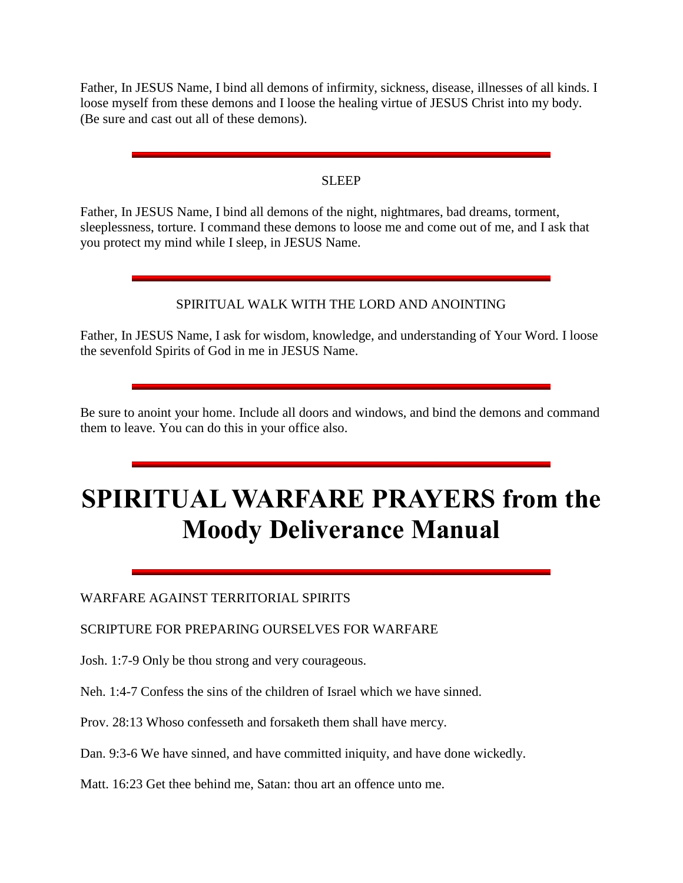Father, In JESUS Name, I bind all demons of infirmity, sickness, disease, illnesses of all kinds. I loose myself from these demons and I loose the healing virtue of JESUS Christ into my body. (Be sure and cast out all of these demons).

#### SLEEP

Father, In JESUS Name, I bind all demons of the night, nightmares, bad dreams, torment, sleeplessness, torture. I command these demons to loose me and come out of me, and I ask that you protect my mind while I sleep, in JESUS Name.

## SPIRITUAL WALK WITH THE LORD AND ANOINTING

Father, In JESUS Name, I ask for wisdom, knowledge, and understanding of Your Word. I loose the sevenfold Spirits of God in me in JESUS Name.

Be sure to anoint your home. Include all doors and windows, and bind the demons and command them to leave. You can do this in your office also.

# **SPIRITUAL WARFARE PRAYERS from the Moody Deliverance Manual**

WARFARE AGAINST TERRITORIAL SPIRITS

SCRIPTURE FOR PREPARING OURSELVES FOR WARFARE

Josh. 1:7-9 Only be thou strong and very courageous.

Neh. 1:4-7 Confess the sins of the children of Israel which we have sinned.

Prov. 28:13 Whoso confesseth and forsaketh them shall have mercy.

Dan. 9:3-6 We have sinned, and have committed iniquity, and have done wickedly.

Matt. 16:23 Get thee behind me, Satan: thou art an offence unto me.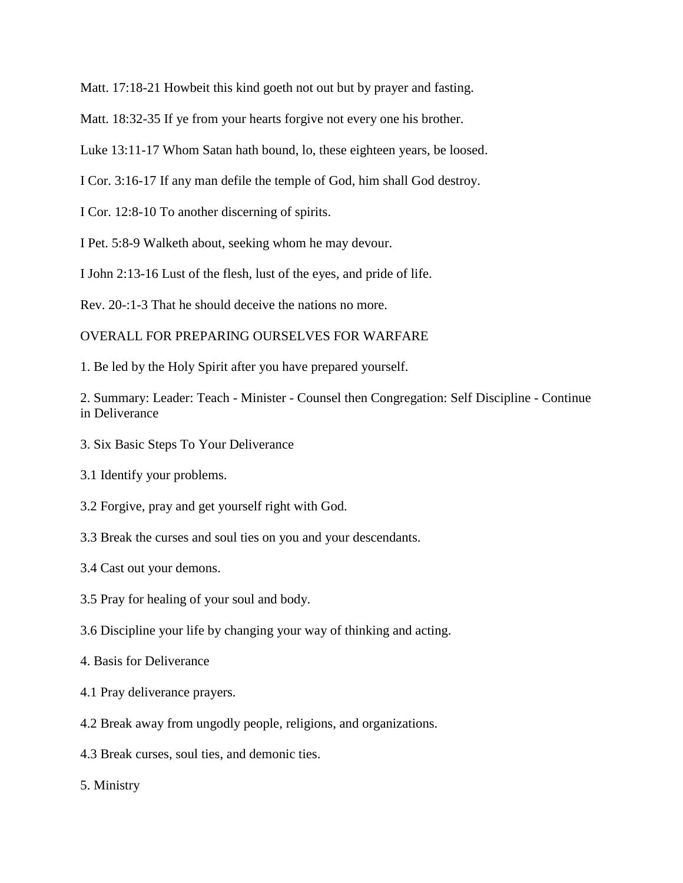Matt. 17:18-21 Howbeit this kind goeth not out but by prayer and fasting.

Matt. 18:32-35 If ye from your hearts forgive not every one his brother.

Luke 13:11-17 Whom Satan hath bound, lo, these eighteen years, be loosed.

I Cor. 3:16-17 If any man defile the temple of God, him shall God destroy.

I Cor. 12:8-10 To another discerning of spirits.

I Pet. 5:8-9 Walketh about, seeking whom he may devour.

I John 2:13-16 Lust of the flesh, lust of the eyes, and pride of life.

Rev. 20-:1-3 That he should deceive the nations no more.

#### OVERALL FOR PREPARING OURSELVES FOR WARFARE

1. Be led by the Holy Spirit after you have prepared yourself.

2. Summary: Leader: Teach - Minister - Counsel then Congregation: Self Discipline - Continue in Deliverance

3. Six Basic Steps To Your Deliverance

3.1 Identify your problems.

3.2 Forgive, pray and get yourself right with God.

3.3 Break the curses and soul ties on you and your descendants.

3.4 Cast out your demons.

3.5 Pray for healing of your soul and body.

3.6 Discipline your life by changing your way of thinking and acting.

4. Basis for Deliverance

4.1 Pray deliverance prayers.

4.2 Break away from ungodly people, religions, and organizations.

4.3 Break curses, soul ties, and demonic ties.

5. Ministry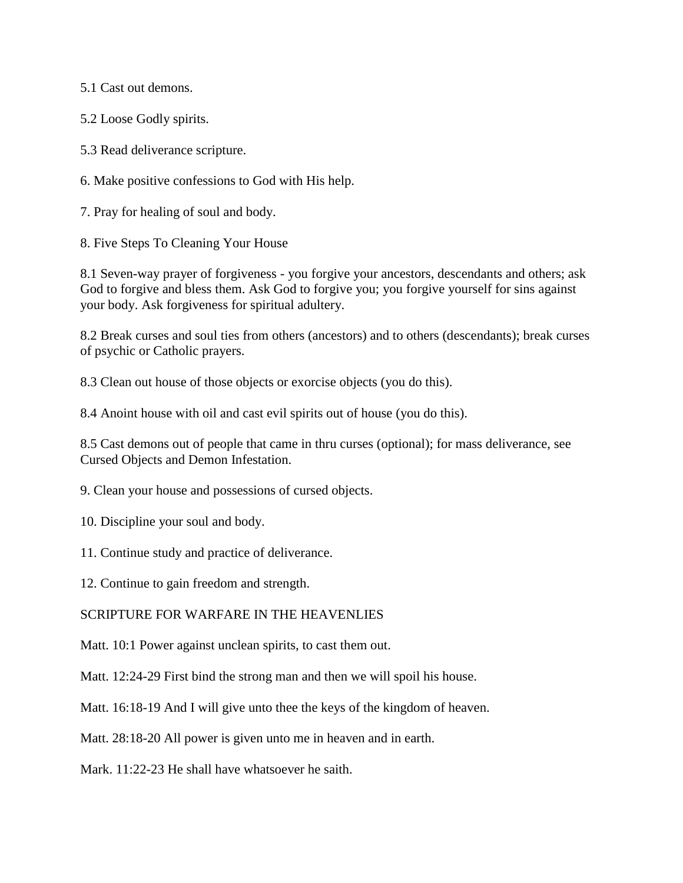5.1 Cast out demons.

5.2 Loose Godly spirits.

5.3 Read deliverance scripture.

6. Make positive confessions to God with His help.

7. Pray for healing of soul and body.

8. Five Steps To Cleaning Your House

8.1 Seven-way prayer of forgiveness - you forgive your ancestors, descendants and others; ask God to forgive and bless them. Ask God to forgive you; you forgive yourself for sins against your body. Ask forgiveness for spiritual adultery.

8.2 Break curses and soul ties from others (ancestors) and to others (descendants); break curses of psychic or Catholic prayers.

8.3 Clean out house of those objects or exorcise objects (you do this).

8.4 Anoint house with oil and cast evil spirits out of house (you do this).

8.5 Cast demons out of people that came in thru curses (optional); for mass deliverance, see Cursed Objects and Demon Infestation.

9. Clean your house and possessions of cursed objects.

10. Discipline your soul and body.

11. Continue study and practice of deliverance.

12. Continue to gain freedom and strength.

SCRIPTURE FOR WARFARE IN THE HEAVENLIES

Matt. 10:1 Power against unclean spirits, to cast them out.

Matt. 12:24-29 First bind the strong man and then we will spoil his house.

Matt. 16:18-19 And I will give unto thee the keys of the kingdom of heaven.

Matt. 28:18-20 All power is given unto me in heaven and in earth.

Mark. 11:22-23 He shall have whatsoever he saith.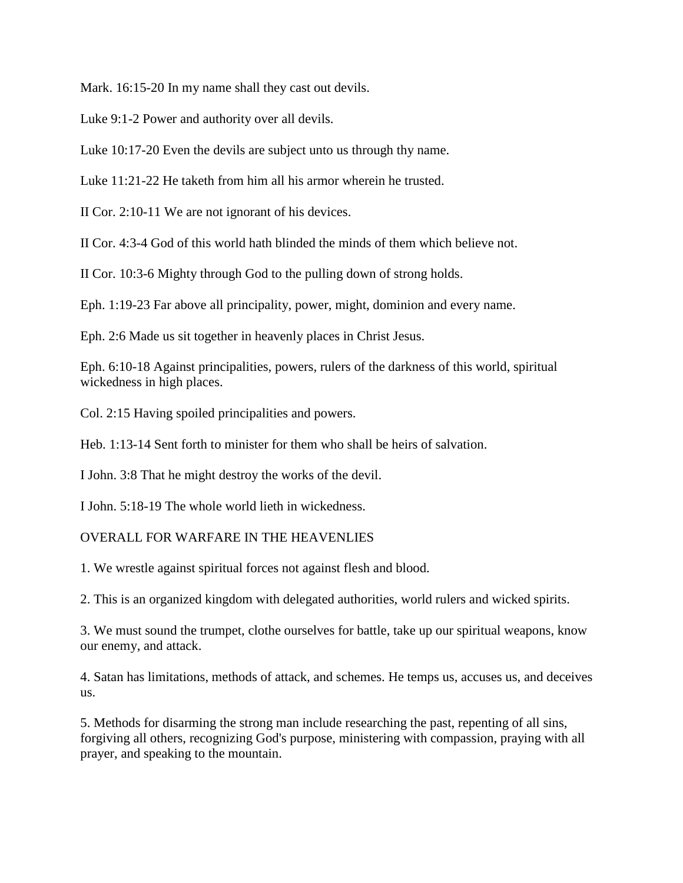Mark. 16:15-20 In my name shall they cast out devils.

Luke 9:1-2 Power and authority over all devils.

Luke 10:17-20 Even the devils are subject unto us through thy name.

Luke 11:21-22 He taketh from him all his armor wherein he trusted.

II Cor. 2:10-11 We are not ignorant of his devices.

II Cor. 4:3-4 God of this world hath blinded the minds of them which believe not.

II Cor. 10:3-6 Mighty through God to the pulling down of strong holds.

Eph. 1:19-23 Far above all principality, power, might, dominion and every name.

Eph. 2:6 Made us sit together in heavenly places in Christ Jesus.

Eph. 6:10-18 Against principalities, powers, rulers of the darkness of this world, spiritual wickedness in high places.

Col. 2:15 Having spoiled principalities and powers.

Heb. 1:13-14 Sent forth to minister for them who shall be heirs of salvation.

I John. 3:8 That he might destroy the works of the devil.

I John. 5:18-19 The whole world lieth in wickedness.

#### OVERALL FOR WARFARE IN THE HEAVENLIES

1. We wrestle against spiritual forces not against flesh and blood.

2. This is an organized kingdom with delegated authorities, world rulers and wicked spirits.

3. We must sound the trumpet, clothe ourselves for battle, take up our spiritual weapons, know our enemy, and attack.

4. Satan has limitations, methods of attack, and schemes. He temps us, accuses us, and deceives us.

5. Methods for disarming the strong man include researching the past, repenting of all sins, forgiving all others, recognizing God's purpose, ministering with compassion, praying with all prayer, and speaking to the mountain.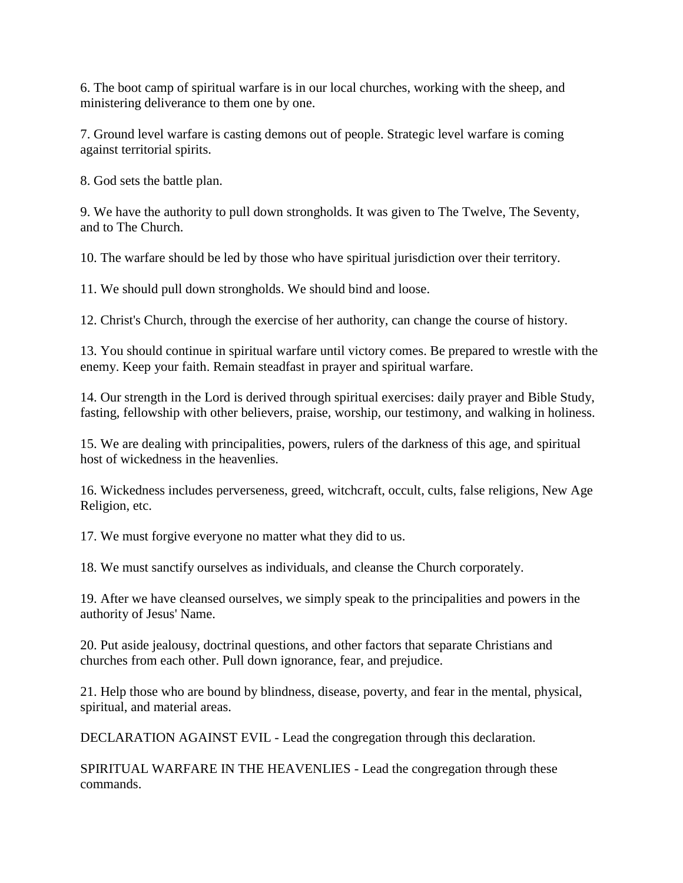6. The boot camp of spiritual warfare is in our local churches, working with the sheep, and ministering deliverance to them one by one.

7. Ground level warfare is casting demons out of people. Strategic level warfare is coming against territorial spirits.

8. God sets the battle plan.

9. We have the authority to pull down strongholds. It was given to The Twelve, The Seventy, and to The Church.

10. The warfare should be led by those who have spiritual jurisdiction over their territory.

11. We should pull down strongholds. We should bind and loose.

12. Christ's Church, through the exercise of her authority, can change the course of history.

13. You should continue in spiritual warfare until victory comes. Be prepared to wrestle with the enemy. Keep your faith. Remain steadfast in prayer and spiritual warfare.

14. Our strength in the Lord is derived through spiritual exercises: daily prayer and Bible Study, fasting, fellowship with other believers, praise, worship, our testimony, and walking in holiness.

15. We are dealing with principalities, powers, rulers of the darkness of this age, and spiritual host of wickedness in the heavenlies.

16. Wickedness includes perverseness, greed, witchcraft, occult, cults, false religions, New Age Religion, etc.

17. We must forgive everyone no matter what they did to us.

18. We must sanctify ourselves as individuals, and cleanse the Church corporately.

19. After we have cleansed ourselves, we simply speak to the principalities and powers in the authority of Jesus' Name.

20. Put aside jealousy, doctrinal questions, and other factors that separate Christians and churches from each other. Pull down ignorance, fear, and prejudice.

21. Help those who are bound by blindness, disease, poverty, and fear in the mental, physical, spiritual, and material areas.

DECLARATION AGAINST EVIL - Lead the congregation through this declaration.

SPIRITUAL WARFARE IN THE HEAVENLIES - Lead the congregation through these commands.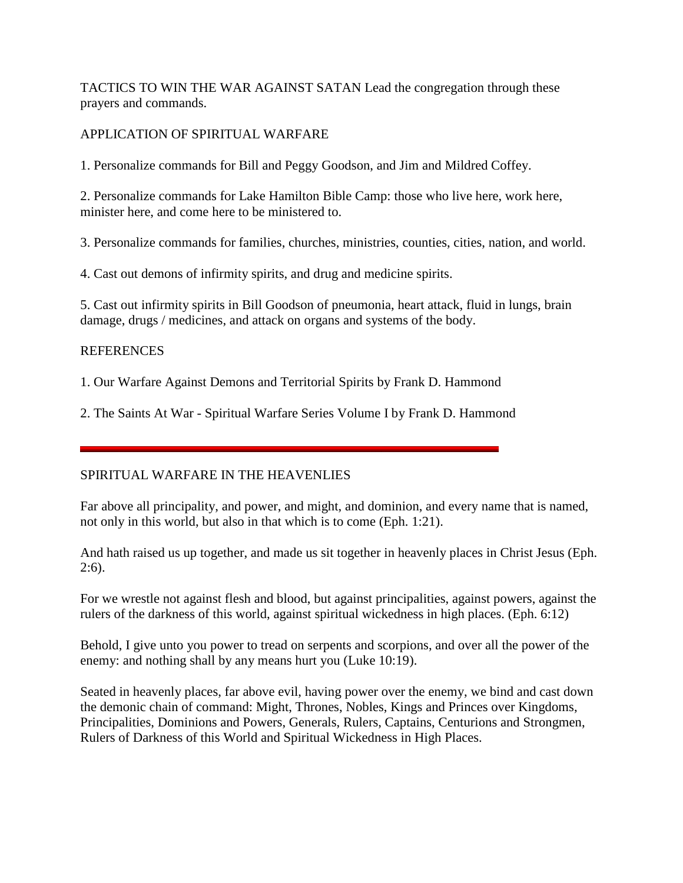TACTICS TO WIN THE WAR AGAINST SATAN Lead the congregation through these prayers and commands.

## APPLICATION OF SPIRITUAL WARFARE

1. Personalize commands for Bill and Peggy Goodson, and Jim and Mildred Coffey.

2. Personalize commands for Lake Hamilton Bible Camp: those who live here, work here, minister here, and come here to be ministered to.

3. Personalize commands for families, churches, ministries, counties, cities, nation, and world.

4. Cast out demons of infirmity spirits, and drug and medicine spirits.

5. Cast out infirmity spirits in Bill Goodson of pneumonia, heart attack, fluid in lungs, brain damage, drugs / medicines, and attack on organs and systems of the body.

## **REFERENCES**

1. Our Warfare Against Demons and Territorial Spirits by Frank D. Hammond

2. The Saints At War - Spiritual Warfare Series Volume I by Frank D. Hammond

## SPIRITUAL WARFARE IN THE HEAVENLIES

Far above all principality, and power, and might, and dominion, and every name that is named, not only in this world, but also in that which is to come (Eph. 1:21).

And hath raised us up together, and made us sit together in heavenly places in Christ Jesus (Eph.  $2:6$ ).

For we wrestle not against flesh and blood, but against principalities, against powers, against the rulers of the darkness of this world, against spiritual wickedness in high places. (Eph. 6:12)

Behold, I give unto you power to tread on serpents and scorpions, and over all the power of the enemy: and nothing shall by any means hurt you (Luke 10:19).

Seated in heavenly places, far above evil, having power over the enemy, we bind and cast down the demonic chain of command: Might, Thrones, Nobles, Kings and Princes over Kingdoms, Principalities, Dominions and Powers, Generals, Rulers, Captains, Centurions and Strongmen, Rulers of Darkness of this World and Spiritual Wickedness in High Places.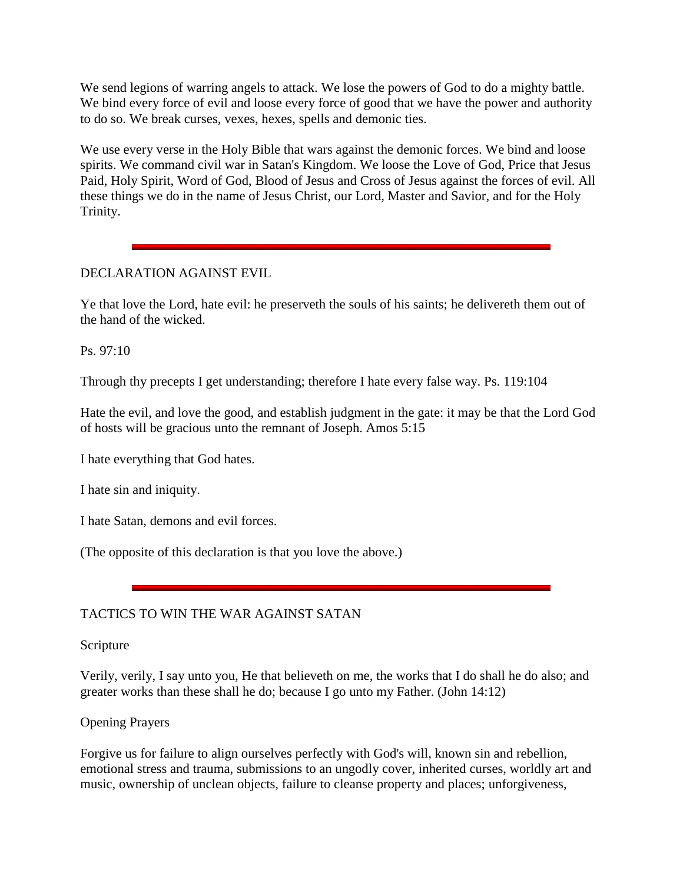We send legions of warring angels to attack. We lose the powers of God to do a mighty battle. We bind every force of evil and loose every force of good that we have the power and authority to do so. We break curses, vexes, hexes, spells and demonic ties.

We use every verse in the Holy Bible that wars against the demonic forces. We bind and loose spirits. We command civil war in Satan's Kingdom. We loose the Love of God, Price that Jesus Paid, Holy Spirit, Word of God, Blood of Jesus and Cross of Jesus against the forces of evil. All these things we do in the name of Jesus Christ, our Lord, Master and Savior, and for the Holy Trinity.

## DECLARATION AGAINST EVIL

Ye that love the Lord, hate evil: he preserveth the souls of his saints; he delivereth them out of the hand of the wicked.

Ps. 97:10

Through thy precepts I get understanding; therefore I hate every false way. Ps. 119:104

Hate the evil, and love the good, and establish judgment in the gate: it may be that the Lord God of hosts will be gracious unto the remnant of Joseph. Amos 5:15

I hate everything that God hates.

I hate sin and iniquity.

I hate Satan, demons and evil forces.

(The opposite of this declaration is that you love the above.)

## TACTICS TO WIN THE WAR AGAINST SATAN

Scripture

Verily, verily, I say unto you, He that believeth on me, the works that I do shall he do also; and greater works than these shall he do; because I go unto my Father. (John 14:12)

#### Opening Prayers

Forgive us for failure to align ourselves perfectly with God's will, known sin and rebellion, emotional stress and trauma, submissions to an ungodly cover, inherited curses, worldly art and music, ownership of unclean objects, failure to cleanse property and places; unforgiveness,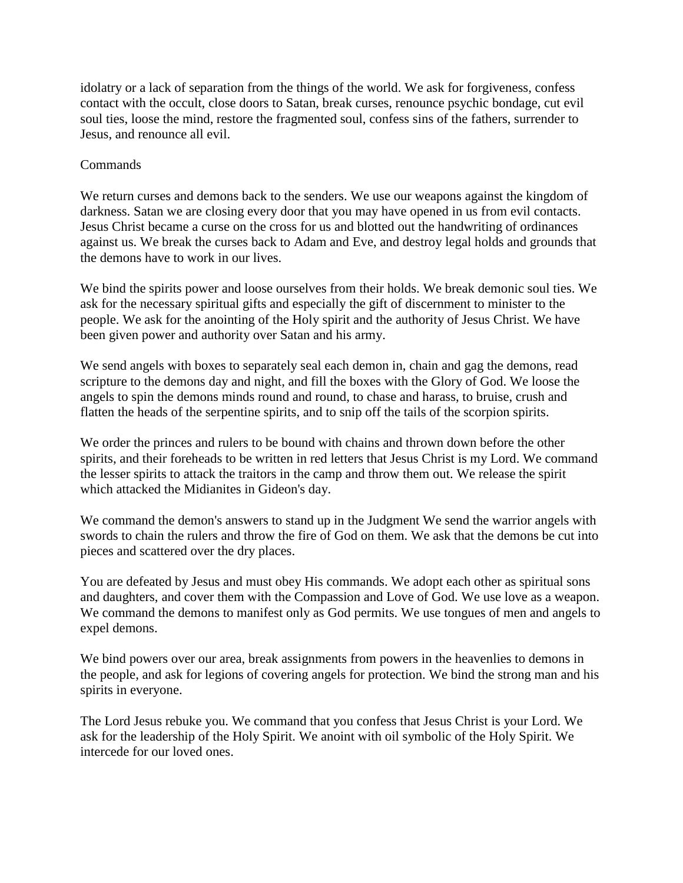idolatry or a lack of separation from the things of the world. We ask for forgiveness, confess contact with the occult, close doors to Satan, break curses, renounce psychic bondage, cut evil soul ties, loose the mind, restore the fragmented soul, confess sins of the fathers, surrender to Jesus, and renounce all evil.

## Commands

We return curses and demons back to the senders. We use our weapons against the kingdom of darkness. Satan we are closing every door that you may have opened in us from evil contacts. Jesus Christ became a curse on the cross for us and blotted out the handwriting of ordinances against us. We break the curses back to Adam and Eve, and destroy legal holds and grounds that the demons have to work in our lives.

We bind the spirits power and loose ourselves from their holds. We break demonic soul ties. We ask for the necessary spiritual gifts and especially the gift of discernment to minister to the people. We ask for the anointing of the Holy spirit and the authority of Jesus Christ. We have been given power and authority over Satan and his army.

We send angels with boxes to separately seal each demon in, chain and gag the demons, read scripture to the demons day and night, and fill the boxes with the Glory of God. We loose the angels to spin the demons minds round and round, to chase and harass, to bruise, crush and flatten the heads of the serpentine spirits, and to snip off the tails of the scorpion spirits.

We order the princes and rulers to be bound with chains and thrown down before the other spirits, and their foreheads to be written in red letters that Jesus Christ is my Lord. We command the lesser spirits to attack the traitors in the camp and throw them out. We release the spirit which attacked the Midianites in Gideon's day.

We command the demon's answers to stand up in the Judgment We send the warrior angels with swords to chain the rulers and throw the fire of God on them. We ask that the demons be cut into pieces and scattered over the dry places.

You are defeated by Jesus and must obey His commands. We adopt each other as spiritual sons and daughters, and cover them with the Compassion and Love of God. We use love as a weapon. We command the demons to manifest only as God permits. We use tongues of men and angels to expel demons.

We bind powers over our area, break assignments from powers in the heavenlies to demons in the people, and ask for legions of covering angels for protection. We bind the strong man and his spirits in everyone.

The Lord Jesus rebuke you. We command that you confess that Jesus Christ is your Lord. We ask for the leadership of the Holy Spirit. We anoint with oil symbolic of the Holy Spirit. We intercede for our loved ones.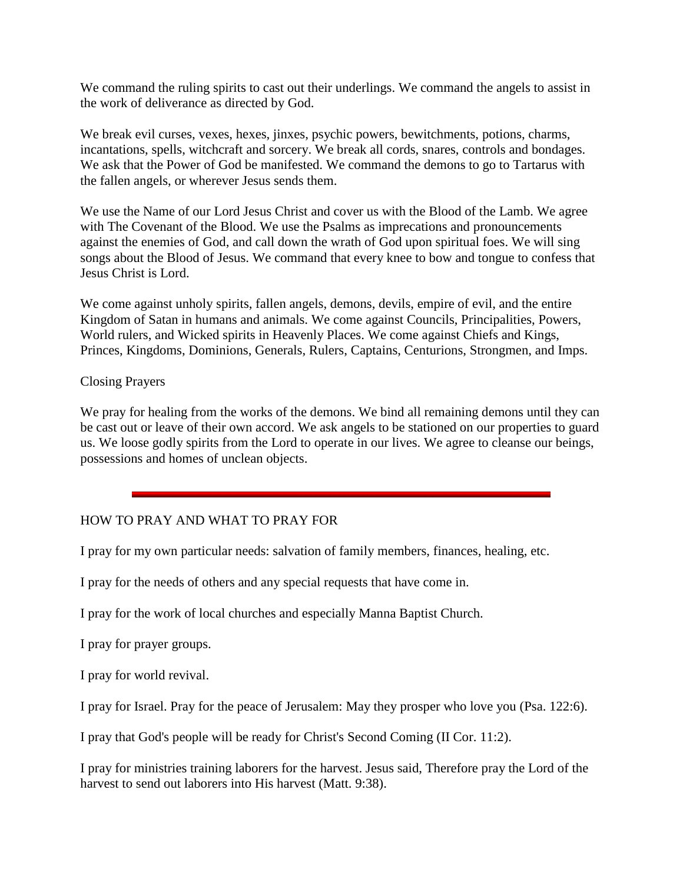We command the ruling spirits to cast out their underlings. We command the angels to assist in the work of deliverance as directed by God.

We break evil curses, vexes, hexes, jinxes, psychic powers, bewitchments, potions, charms, incantations, spells, witchcraft and sorcery. We break all cords, snares, controls and bondages. We ask that the Power of God be manifested. We command the demons to go to Tartarus with the fallen angels, or wherever Jesus sends them.

We use the Name of our Lord Jesus Christ and cover us with the Blood of the Lamb. We agree with The Covenant of the Blood. We use the Psalms as imprecations and pronouncements against the enemies of God, and call down the wrath of God upon spiritual foes. We will sing songs about the Blood of Jesus. We command that every knee to bow and tongue to confess that Jesus Christ is Lord.

We come against unholy spirits, fallen angels, demons, devils, empire of evil, and the entire Kingdom of Satan in humans and animals. We come against Councils, Principalities, Powers, World rulers, and Wicked spirits in Heavenly Places. We come against Chiefs and Kings, Princes, Kingdoms, Dominions, Generals, Rulers, Captains, Centurions, Strongmen, and Imps.

## Closing Prayers

We pray for healing from the works of the demons. We bind all remaining demons until they can be cast out or leave of their own accord. We ask angels to be stationed on our properties to guard us. We loose godly spirits from the Lord to operate in our lives. We agree to cleanse our beings, possessions and homes of unclean objects.

## HOW TO PRAY AND WHAT TO PRAY FOR

I pray for my own particular needs: salvation of family members, finances, healing, etc.

I pray for the needs of others and any special requests that have come in.

I pray for the work of local churches and especially Manna Baptist Church.

I pray for prayer groups.

I pray for world revival.

I pray for Israel. Pray for the peace of Jerusalem: May they prosper who love you (Psa. 122:6).

I pray that God's people will be ready for Christ's Second Coming (II Cor. 11:2).

I pray for ministries training laborers for the harvest. Jesus said, Therefore pray the Lord of the harvest to send out laborers into His harvest (Matt. 9:38).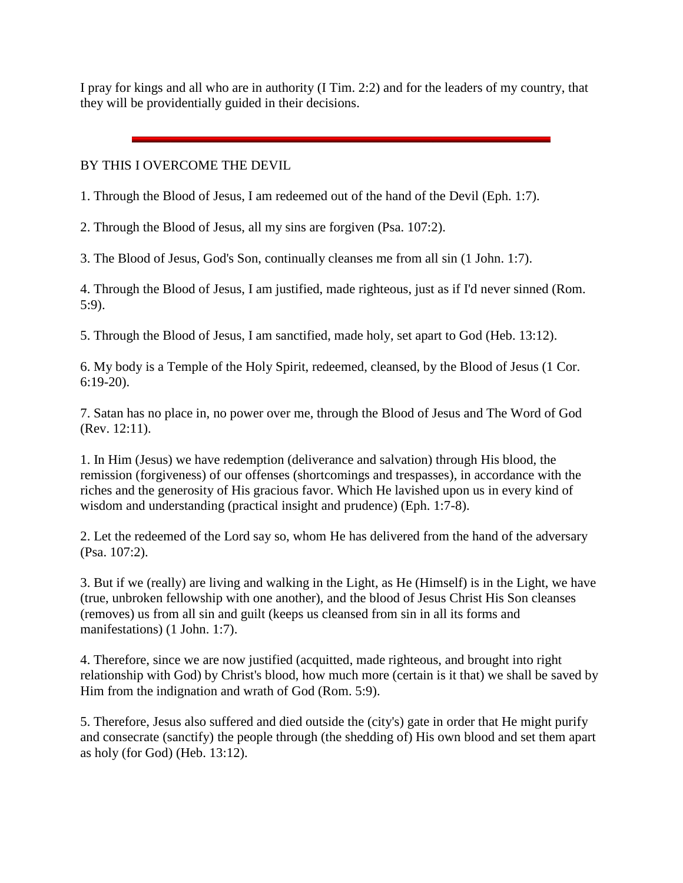I pray for kings and all who are in authority (I Tim. 2:2) and for the leaders of my country, that they will be providentially guided in their decisions.

## BY THIS I OVERCOME THE DEVIL

1. Through the Blood of Jesus, I am redeemed out of the hand of the Devil (Eph. 1:7).

2. Through the Blood of Jesus, all my sins are forgiven (Psa. 107:2).

3. The Blood of Jesus, God's Son, continually cleanses me from all sin (1 John. 1:7).

4. Through the Blood of Jesus, I am justified, made righteous, just as if I'd never sinned (Rom. 5:9).

5. Through the Blood of Jesus, I am sanctified, made holy, set apart to God (Heb. 13:12).

6. My body is a Temple of the Holy Spirit, redeemed, cleansed, by the Blood of Jesus (1 Cor. 6:19-20).

7. Satan has no place in, no power over me, through the Blood of Jesus and The Word of God (Rev. 12:11).

1. In Him (Jesus) we have redemption (deliverance and salvation) through His blood, the remission (forgiveness) of our offenses (shortcomings and trespasses), in accordance with the riches and the generosity of His gracious favor. Which He lavished upon us in every kind of wisdom and understanding (practical insight and prudence) (Eph. 1:7-8).

2. Let the redeemed of the Lord say so, whom He has delivered from the hand of the adversary (Psa. 107:2).

3. But if we (really) are living and walking in the Light, as He (Himself) is in the Light, we have (true, unbroken fellowship with one another), and the blood of Jesus Christ His Son cleanses (removes) us from all sin and guilt (keeps us cleansed from sin in all its forms and manifestations) (1 John. 1:7).

4. Therefore, since we are now justified (acquitted, made righteous, and brought into right relationship with God) by Christ's blood, how much more (certain is it that) we shall be saved by Him from the indignation and wrath of God (Rom. 5:9).

5. Therefore, Jesus also suffered and died outside the (city's) gate in order that He might purify and consecrate (sanctify) the people through (the shedding of) His own blood and set them apart as holy (for God) (Heb. 13:12).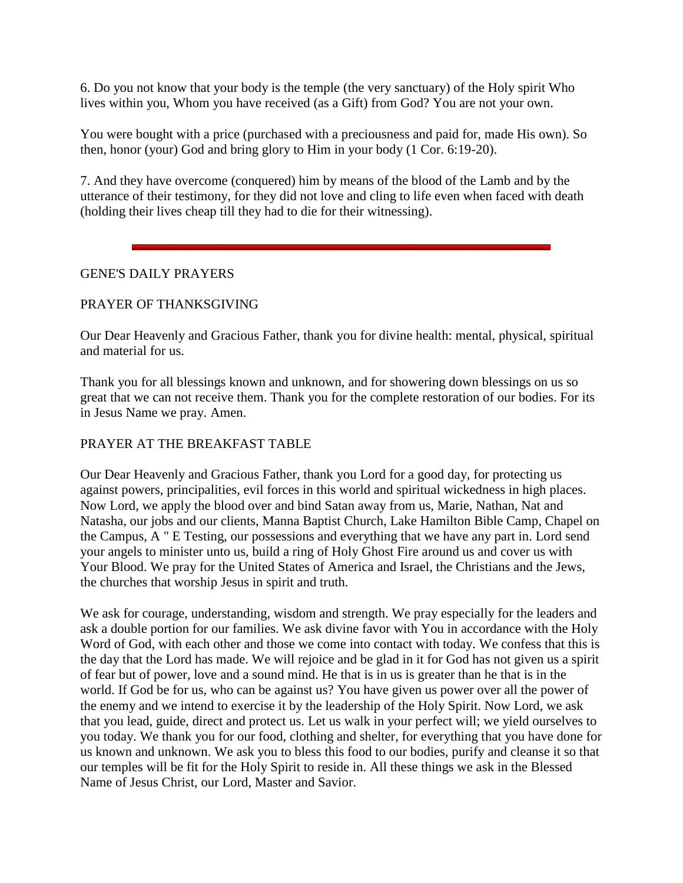6. Do you not know that your body is the temple (the very sanctuary) of the Holy spirit Who lives within you, Whom you have received (as a Gift) from God? You are not your own.

You were bought with a price (purchased with a preciousness and paid for, made His own). So then, honor (your) God and bring glory to Him in your body (1 Cor. 6:19-20).

7. And they have overcome (conquered) him by means of the blood of the Lamb and by the utterance of their testimony, for they did not love and cling to life even when faced with death (holding their lives cheap till they had to die for their witnessing).

## GENE'S DAILY PRAYERS

## PRAYER OF THANKSGIVING

Our Dear Heavenly and Gracious Father, thank you for divine health: mental, physical, spiritual and material for us.

Thank you for all blessings known and unknown, and for showering down blessings on us so great that we can not receive them. Thank you for the complete restoration of our bodies. For its in Jesus Name we pray. Amen.

## PRAYER AT THE BREAKFAST TABLE

Our Dear Heavenly and Gracious Father, thank you Lord for a good day, for protecting us against powers, principalities, evil forces in this world and spiritual wickedness in high places. Now Lord, we apply the blood over and bind Satan away from us, Marie, Nathan, Nat and Natasha, our jobs and our clients, Manna Baptist Church, Lake Hamilton Bible Camp, Chapel on the Campus, A " E Testing, our possessions and everything that we have any part in. Lord send your angels to minister unto us, build a ring of Holy Ghost Fire around us and cover us with Your Blood. We pray for the United States of America and Israel, the Christians and the Jews, the churches that worship Jesus in spirit and truth.

We ask for courage, understanding, wisdom and strength. We pray especially for the leaders and ask a double portion for our families. We ask divine favor with You in accordance with the Holy Word of God, with each other and those we come into contact with today. We confess that this is the day that the Lord has made. We will rejoice and be glad in it for God has not given us a spirit of fear but of power, love and a sound mind. He that is in us is greater than he that is in the world. If God be for us, who can be against us? You have given us power over all the power of the enemy and we intend to exercise it by the leadership of the Holy Spirit. Now Lord, we ask that you lead, guide, direct and protect us. Let us walk in your perfect will; we yield ourselves to you today. We thank you for our food, clothing and shelter, for everything that you have done for us known and unknown. We ask you to bless this food to our bodies, purify and cleanse it so that our temples will be fit for the Holy Spirit to reside in. All these things we ask in the Blessed Name of Jesus Christ, our Lord, Master and Savior.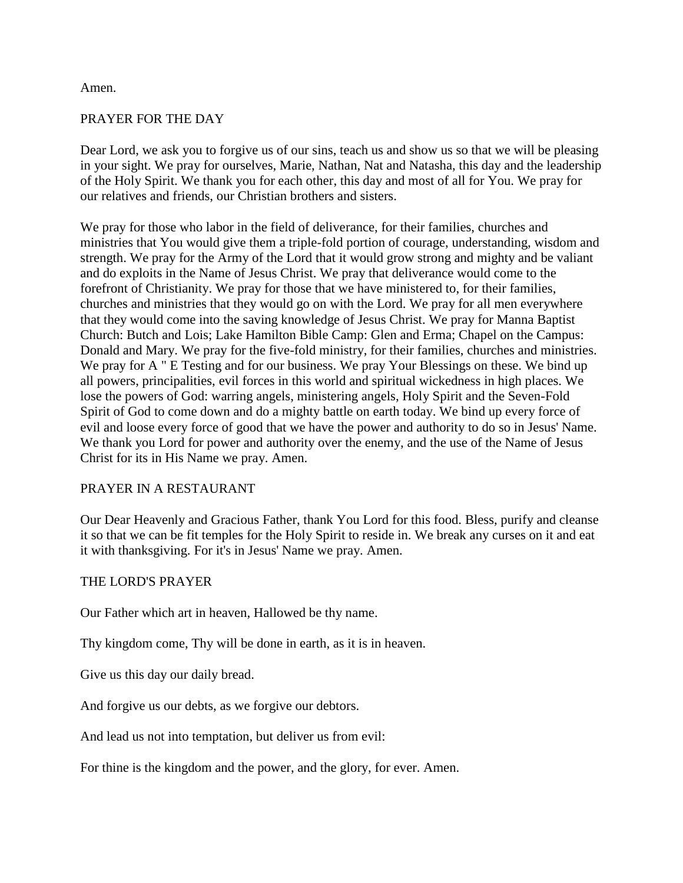#### Amen.

#### PRAYER FOR THE DAY

Dear Lord, we ask you to forgive us of our sins, teach us and show us so that we will be pleasing in your sight. We pray for ourselves, Marie, Nathan, Nat and Natasha, this day and the leadership of the Holy Spirit. We thank you for each other, this day and most of all for You. We pray for our relatives and friends, our Christian brothers and sisters.

We pray for those who labor in the field of deliverance, for their families, churches and ministries that You would give them a triple-fold portion of courage, understanding, wisdom and strength. We pray for the Army of the Lord that it would grow strong and mighty and be valiant and do exploits in the Name of Jesus Christ. We pray that deliverance would come to the forefront of Christianity. We pray for those that we have ministered to, for their families, churches and ministries that they would go on with the Lord. We pray for all men everywhere that they would come into the saving knowledge of Jesus Christ. We pray for Manna Baptist Church: Butch and Lois; Lake Hamilton Bible Camp: Glen and Erma; Chapel on the Campus: Donald and Mary. We pray for the five-fold ministry, for their families, churches and ministries. We pray for A " E Testing and for our business. We pray Your Blessings on these. We bind up all powers, principalities, evil forces in this world and spiritual wickedness in high places. We lose the powers of God: warring angels, ministering angels, Holy Spirit and the Seven-Fold Spirit of God to come down and do a mighty battle on earth today. We bind up every force of evil and loose every force of good that we have the power and authority to do so in Jesus' Name. We thank you Lord for power and authority over the enemy, and the use of the Name of Jesus Christ for its in His Name we pray. Amen.

#### PRAYER IN A RESTAURANT

Our Dear Heavenly and Gracious Father, thank You Lord for this food. Bless, purify and cleanse it so that we can be fit temples for the Holy Spirit to reside in. We break any curses on it and eat it with thanksgiving. For it's in Jesus' Name we pray. Amen.

#### THE LORD'S PRAYER

Our Father which art in heaven, Hallowed be thy name.

Thy kingdom come, Thy will be done in earth, as it is in heaven.

Give us this day our daily bread.

And forgive us our debts, as we forgive our debtors.

And lead us not into temptation, but deliver us from evil:

For thine is the kingdom and the power, and the glory, for ever. Amen.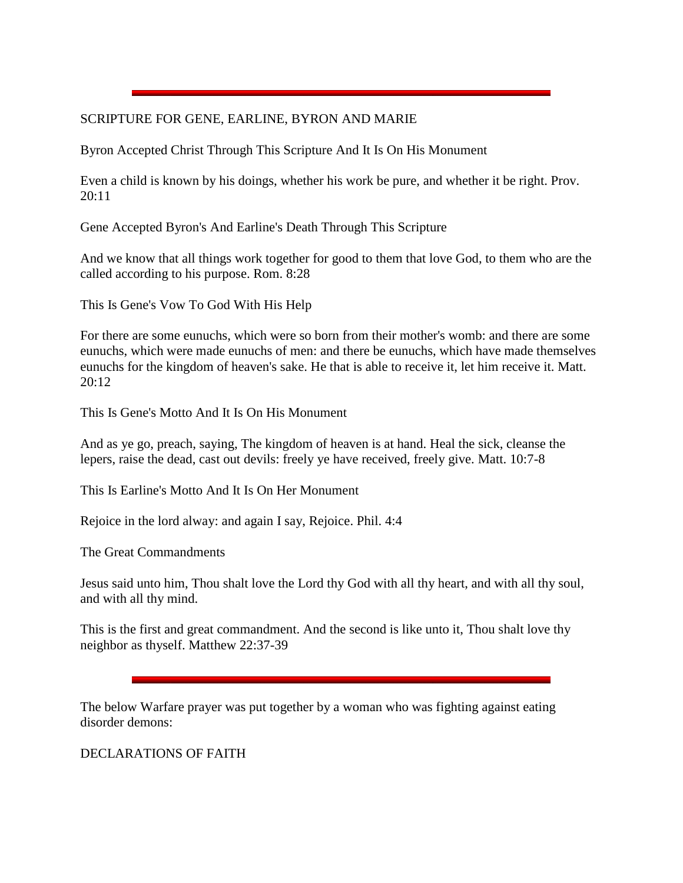## SCRIPTURE FOR GENE, EARLINE, BYRON AND MARIE

Byron Accepted Christ Through This Scripture And It Is On His Monument

Even a child is known by his doings, whether his work be pure, and whether it be right. Prov. 20:11

Gene Accepted Byron's And Earline's Death Through This Scripture

And we know that all things work together for good to them that love God, to them who are the called according to his purpose. Rom. 8:28

This Is Gene's Vow To God With His Help

For there are some eunuchs, which were so born from their mother's womb: and there are some eunuchs, which were made eunuchs of men: and there be eunuchs, which have made themselves eunuchs for the kingdom of heaven's sake. He that is able to receive it, let him receive it. Matt. 20:12

This Is Gene's Motto And It Is On His Monument

And as ye go, preach, saying, The kingdom of heaven is at hand. Heal the sick, cleanse the lepers, raise the dead, cast out devils: freely ye have received, freely give. Matt. 10:7-8

This Is Earline's Motto And It Is On Her Monument

Rejoice in the lord alway: and again I say, Rejoice. Phil. 4:4

The Great Commandments

Jesus said unto him, Thou shalt love the Lord thy God with all thy heart, and with all thy soul, and with all thy mind.

This is the first and great commandment. And the second is like unto it, Thou shalt love thy neighbor as thyself. Matthew 22:37-39

The below Warfare prayer was put together by a woman who was fighting against eating disorder demons:

DECLARATIONS OF FAITH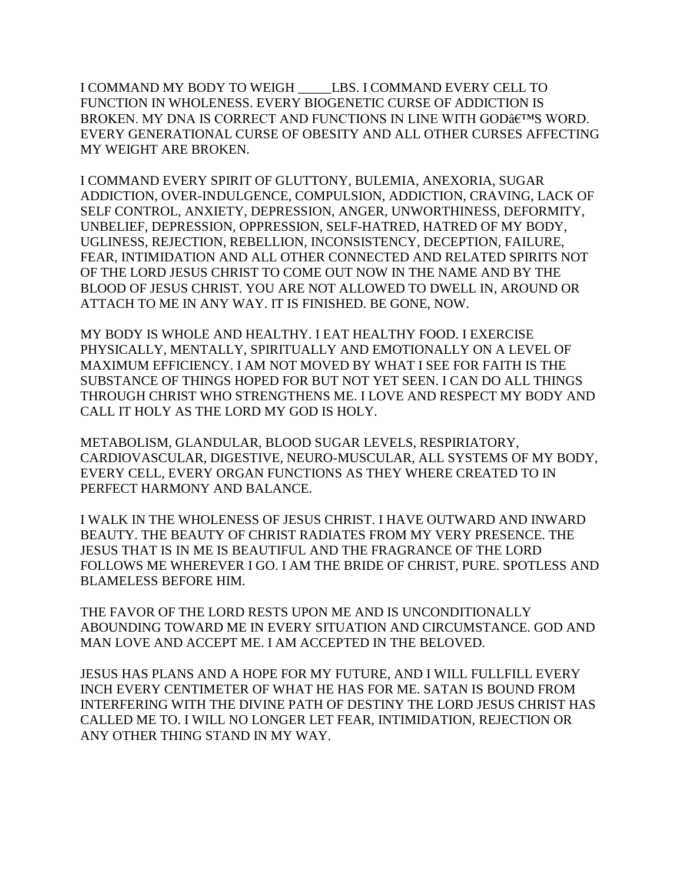I COMMAND MY BODY TO WEIGH \_\_\_\_\_LBS. I COMMAND EVERY CELL TO FUNCTION IN WHOLENESS. EVERY BIOGENETIC CURSE OF ADDICTION IS BROKEN. MY DNA IS CORRECT AND FUNCTIONS IN LINE WITH GODÂ $\varepsilon$ tms WORD. EVERY GENERATIONAL CURSE OF OBESITY AND ALL OTHER CURSES AFFECTING MY WEIGHT ARE BROKEN.

I COMMAND EVERY SPIRIT OF GLUTTONY, BULEMIA, ANEXORIA, SUGAR ADDICTION, OVER-INDULGENCE, COMPULSION, ADDICTION, CRAVING, LACK OF SELF CONTROL, ANXIETY, DEPRESSION, ANGER, UNWORTHINESS, DEFORMITY, UNBELIEF, DEPRESSION, OPPRESSION, SELF-HATRED, HATRED OF MY BODY, UGLINESS, REJECTION, REBELLION, INCONSISTENCY, DECEPTION, FAILURE, FEAR, INTIMIDATION AND ALL OTHER CONNECTED AND RELATED SPIRITS NOT OF THE LORD JESUS CHRIST TO COME OUT NOW IN THE NAME AND BY THE BLOOD OF JESUS CHRIST. YOU ARE NOT ALLOWED TO DWELL IN, AROUND OR ATTACH TO ME IN ANY WAY. IT IS FINISHED. BE GONE, NOW.

MY BODY IS WHOLE AND HEALTHY. I EAT HEALTHY FOOD. I EXERCISE PHYSICALLY, MENTALLY, SPIRITUALLY AND EMOTIONALLY ON A LEVEL OF MAXIMUM EFFICIENCY. I AM NOT MOVED BY WHAT I SEE FOR FAITH IS THE SUBSTANCE OF THINGS HOPED FOR BUT NOT YET SEEN. I CAN DO ALL THINGS THROUGH CHRIST WHO STRENGTHENS ME. I LOVE AND RESPECT MY BODY AND CALL IT HOLY AS THE LORD MY GOD IS HOLY.

METABOLISM, GLANDULAR, BLOOD SUGAR LEVELS, RESPIRIATORY, CARDIOVASCULAR, DIGESTIVE, NEURO-MUSCULAR, ALL SYSTEMS OF MY BODY, EVERY CELL, EVERY ORGAN FUNCTIONS AS THEY WHERE CREATED TO IN PERFECT HARMONY AND BALANCE.

I WALK IN THE WHOLENESS OF JESUS CHRIST. I HAVE OUTWARD AND INWARD BEAUTY. THE BEAUTY OF CHRIST RADIATES FROM MY VERY PRESENCE. THE JESUS THAT IS IN ME IS BEAUTIFUL AND THE FRAGRANCE OF THE LORD FOLLOWS ME WHEREVER I GO. I AM THE BRIDE OF CHRIST, PURE. SPOTLESS AND BLAMELESS BEFORE HIM.

THE FAVOR OF THE LORD RESTS UPON ME AND IS UNCONDITIONALLY ABOUNDING TOWARD ME IN EVERY SITUATION AND CIRCUMSTANCE. GOD AND MAN LOVE AND ACCEPT ME. I AM ACCEPTED IN THE BELOVED.

JESUS HAS PLANS AND A HOPE FOR MY FUTURE, AND I WILL FULLFILL EVERY INCH EVERY CENTIMETER OF WHAT HE HAS FOR ME. SATAN IS BOUND FROM INTERFERING WITH THE DIVINE PATH OF DESTINY THE LORD JESUS CHRIST HAS CALLED ME TO. I WILL NO LONGER LET FEAR, INTIMIDATION, REJECTION OR ANY OTHER THING STAND IN MY WAY.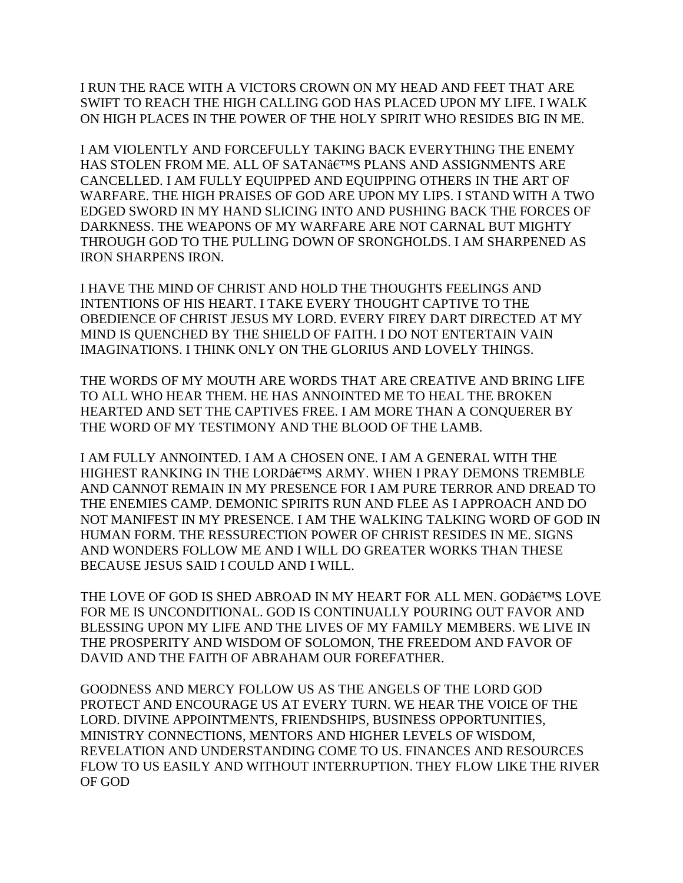I RUN THE RACE WITH A VICTORS CROWN ON MY HEAD AND FEET THAT ARE SWIFT TO REACH THE HIGH CALLING GOD HAS PLACED UPON MY LIFE. I WALK ON HIGH PLACES IN THE POWER OF THE HOLY SPIRIT WHO RESIDES BIG IN ME.

I AM VIOLENTLY AND FORCEFULLY TAKING BACK EVERYTHING THE ENEMY HAS STOLEN FROM ME. ALL OF SATAN $\hat{\mathfrak{a}}$ E<sup>TM</sup>S PLANS AND ASSIGNMENTS ARE CANCELLED. I AM FULLY EQUIPPED AND EQUIPPING OTHERS IN THE ART OF WARFARE. THE HIGH PRAISES OF GOD ARE UPON MY LIPS. I STAND WITH A TWO EDGED SWORD IN MY HAND SLICING INTO AND PUSHING BACK THE FORCES OF DARKNESS. THE WEAPONS OF MY WARFARE ARE NOT CARNAL BUT MIGHTY THROUGH GOD TO THE PULLING DOWN OF SRONGHOLDS. I AM SHARPENED AS IRON SHARPENS IRON.

I HAVE THE MIND OF CHRIST AND HOLD THE THOUGHTS FEELINGS AND INTENTIONS OF HIS HEART. I TAKE EVERY THOUGHT CAPTIVE TO THE OBEDIENCE OF CHRIST JESUS MY LORD. EVERY FIREY DART DIRECTED AT MY MIND IS QUENCHED BY THE SHIELD OF FAITH. I DO NOT ENTERTAIN VAIN IMAGINATIONS. I THINK ONLY ON THE GLORIUS AND LOVELY THINGS.

THE WORDS OF MY MOUTH ARE WORDS THAT ARE CREATIVE AND BRING LIFE TO ALL WHO HEAR THEM. HE HAS ANNOINTED ME TO HEAL THE BROKEN HEARTED AND SET THE CAPTIVES FREE. I AM MORE THAN A CONQUERER BY THE WORD OF MY TESTIMONY AND THE BLOOD OF THE LAMB.

I AM FULLY ANNOINTED. I AM A CHOSEN ONE. I AM A GENERAL WITH THE HIGHEST RANKING IN THE LORDÂETMS ARMY. WHEN I PRAY DEMONS TREMBLE AND CANNOT REMAIN IN MY PRESENCE FOR I AM PURE TERROR AND DREAD TO THE ENEMIES CAMP. DEMONIC SPIRITS RUN AND FLEE AS I APPROACH AND DO NOT MANIFEST IN MY PRESENCE. I AM THE WALKING TALKING WORD OF GOD IN HUMAN FORM. THE RESSURECTION POWER OF CHRIST RESIDES IN ME. SIGNS AND WONDERS FOLLOW ME AND I WILL DO GREATER WORKS THAN THESE BECAUSE JESUS SAID I COULD AND I WILL.

THE LOVE OF GOD IS SHED ABROAD IN MY HEART FOR ALL MEN. GODÂ $\epsilon$ TMS LOVE FOR ME IS UNCONDITIONAL. GOD IS CONTINUALLY POURING OUT FAVOR AND BLESSING UPON MY LIFE AND THE LIVES OF MY FAMILY MEMBERS. WE LIVE IN THE PROSPERITY AND WISDOM OF SOLOMON, THE FREEDOM AND FAVOR OF DAVID AND THE FAITH OF ABRAHAM OUR FOREFATHER.

GOODNESS AND MERCY FOLLOW US AS THE ANGELS OF THE LORD GOD PROTECT AND ENCOURAGE US AT EVERY TURN. WE HEAR THE VOICE OF THE LORD. DIVINE APPOINTMENTS, FRIENDSHIPS, BUSINESS OPPORTUNITIES, MINISTRY CONNECTIONS, MENTORS AND HIGHER LEVELS OF WISDOM, REVELATION AND UNDERSTANDING COME TO US. FINANCES AND RESOURCES FLOW TO US EASILY AND WITHOUT INTERRUPTION. THEY FLOW LIKE THE RIVER OF GOD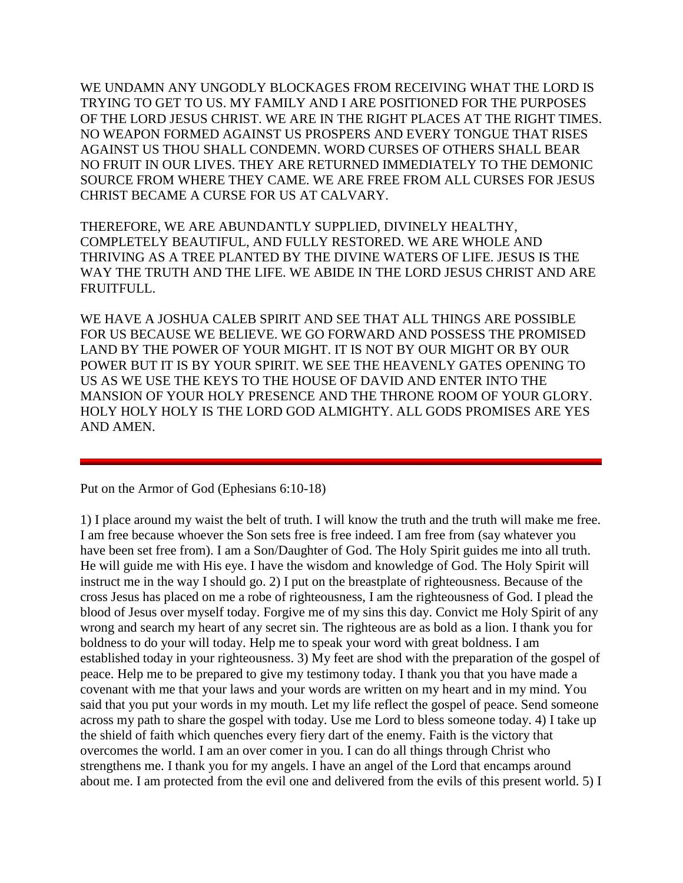WE UNDAMN ANY UNGODLY BLOCKAGES FROM RECEIVING WHAT THE LORD IS TRYING TO GET TO US. MY FAMILY AND I ARE POSITIONED FOR THE PURPOSES OF THE LORD JESUS CHRIST. WE ARE IN THE RIGHT PLACES AT THE RIGHT TIMES. NO WEAPON FORMED AGAINST US PROSPERS AND EVERY TONGUE THAT RISES AGAINST US THOU SHALL CONDEMN. WORD CURSES OF OTHERS SHALL BEAR NO FRUIT IN OUR LIVES. THEY ARE RETURNED IMMEDIATELY TO THE DEMONIC SOURCE FROM WHERE THEY CAME. WE ARE FREE FROM ALL CURSES FOR JESUS CHRIST BECAME A CURSE FOR US AT CALVARY.

THEREFORE, WE ARE ABUNDANTLY SUPPLIED, DIVINELY HEALTHY, COMPLETELY BEAUTIFUL, AND FULLY RESTORED. WE ARE WHOLE AND THRIVING AS A TREE PLANTED BY THE DIVINE WATERS OF LIFE. JESUS IS THE WAY THE TRUTH AND THE LIFE. WE ABIDE IN THE LORD JESUS CHRIST AND ARE FRUITFULL.

WE HAVE A JOSHUA CALEB SPIRIT AND SEE THAT ALL THINGS ARE POSSIBLE FOR US BECAUSE WE BELIEVE. WE GO FORWARD AND POSSESS THE PROMISED LAND BY THE POWER OF YOUR MIGHT. IT IS NOT BY OUR MIGHT OR BY OUR POWER BUT IT IS BY YOUR SPIRIT. WE SEE THE HEAVENLY GATES OPENING TO US AS WE USE THE KEYS TO THE HOUSE OF DAVID AND ENTER INTO THE MANSION OF YOUR HOLY PRESENCE AND THE THRONE ROOM OF YOUR GLORY. HOLY HOLY HOLY IS THE LORD GOD ALMIGHTY. ALL GODS PROMISES ARE YES AND AMEN.

Put on the Armor of God (Ephesians 6:10-18)

1) I place around my waist the belt of truth. I will know the truth and the truth will make me free. I am free because whoever the Son sets free is free indeed. I am free from (say whatever you have been set free from). I am a Son/Daughter of God. The Holy Spirit guides me into all truth. He will guide me with His eye. I have the wisdom and knowledge of God. The Holy Spirit will instruct me in the way I should go. 2) I put on the breastplate of righteousness. Because of the cross Jesus has placed on me a robe of righteousness, I am the righteousness of God. I plead the blood of Jesus over myself today. Forgive me of my sins this day. Convict me Holy Spirit of any wrong and search my heart of any secret sin. The righteous are as bold as a lion. I thank you for boldness to do your will today. Help me to speak your word with great boldness. I am established today in your righteousness. 3) My feet are shod with the preparation of the gospel of peace. Help me to be prepared to give my testimony today. I thank you that you have made a covenant with me that your laws and your words are written on my heart and in my mind. You said that you put your words in my mouth. Let my life reflect the gospel of peace. Send someone across my path to share the gospel with today. Use me Lord to bless someone today. 4) I take up the shield of faith which quenches every fiery dart of the enemy. Faith is the victory that overcomes the world. I am an over comer in you. I can do all things through Christ who strengthens me. I thank you for my angels. I have an angel of the Lord that encamps around about me. I am protected from the evil one and delivered from the evils of this present world. 5) I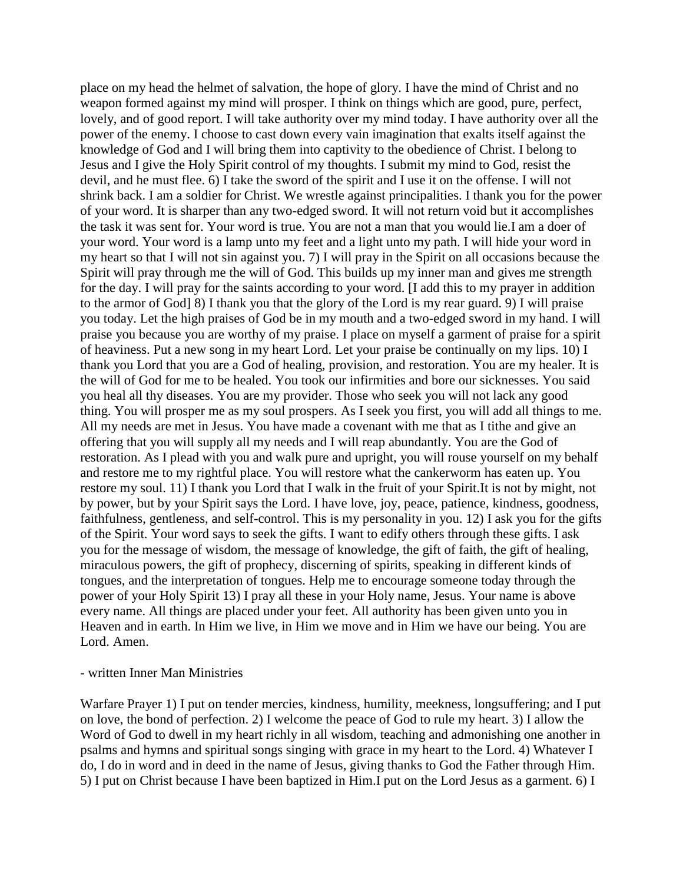place on my head the helmet of salvation, the hope of glory. I have the mind of Christ and no weapon formed against my mind will prosper. I think on things which are good, pure, perfect, lovely, and of good report. I will take authority over my mind today. I have authority over all the power of the enemy. I choose to cast down every vain imagination that exalts itself against the knowledge of God and I will bring them into captivity to the obedience of Christ. I belong to Jesus and I give the Holy Spirit control of my thoughts. I submit my mind to God, resist the devil, and he must flee. 6) I take the sword of the spirit and I use it on the offense. I will not shrink back. I am a soldier for Christ. We wrestle against principalities. I thank you for the power of your word. It is sharper than any two-edged sword. It will not return void but it accomplishes the task it was sent for. Your word is true. You are not a man that you would lie.I am a doer of your word. Your word is a lamp unto my feet and a light unto my path. I will hide your word in my heart so that I will not sin against you. 7) I will pray in the Spirit on all occasions because the Spirit will pray through me the will of God. This builds up my inner man and gives me strength for the day. I will pray for the saints according to your word. [I add this to my prayer in addition to the armor of God] 8) I thank you that the glory of the Lord is my rear guard. 9) I will praise you today. Let the high praises of God be in my mouth and a two-edged sword in my hand. I will praise you because you are worthy of my praise. I place on myself a garment of praise for a spirit of heaviness. Put a new song in my heart Lord. Let your praise be continually on my lips. 10) I thank you Lord that you are a God of healing, provision, and restoration. You are my healer. It is the will of God for me to be healed. You took our infirmities and bore our sicknesses. You said you heal all thy diseases. You are my provider. Those who seek you will not lack any good thing. You will prosper me as my soul prospers. As I seek you first, you will add all things to me. All my needs are met in Jesus. You have made a covenant with me that as I tithe and give an offering that you will supply all my needs and I will reap abundantly. You are the God of restoration. As I plead with you and walk pure and upright, you will rouse yourself on my behalf and restore me to my rightful place. You will restore what the cankerworm has eaten up. You restore my soul. 11) I thank you Lord that I walk in the fruit of your Spirit.It is not by might, not by power, but by your Spirit says the Lord. I have love, joy, peace, patience, kindness, goodness, faithfulness, gentleness, and self-control. This is my personality in you. 12) I ask you for the gifts of the Spirit. Your word says to seek the gifts. I want to edify others through these gifts. I ask you for the message of wisdom, the message of knowledge, the gift of faith, the gift of healing, miraculous powers, the gift of prophecy, discerning of spirits, speaking in different kinds of tongues, and the interpretation of tongues. Help me to encourage someone today through the power of your Holy Spirit 13) I pray all these in your Holy name, Jesus. Your name is above every name. All things are placed under your feet. All authority has been given unto you in Heaven and in earth. In Him we live, in Him we move and in Him we have our being. You are Lord. Amen.

#### - written Inner Man Ministries

Warfare Prayer 1) I put on tender mercies, kindness, humility, meekness, longsuffering; and I put on love, the bond of perfection. 2) I welcome the peace of God to rule my heart. 3) I allow the Word of God to dwell in my heart richly in all wisdom, teaching and admonishing one another in psalms and hymns and spiritual songs singing with grace in my heart to the Lord. 4) Whatever I do, I do in word and in deed in the name of Jesus, giving thanks to God the Father through Him. 5) I put on Christ because I have been baptized in Him.I put on the Lord Jesus as a garment. 6) I